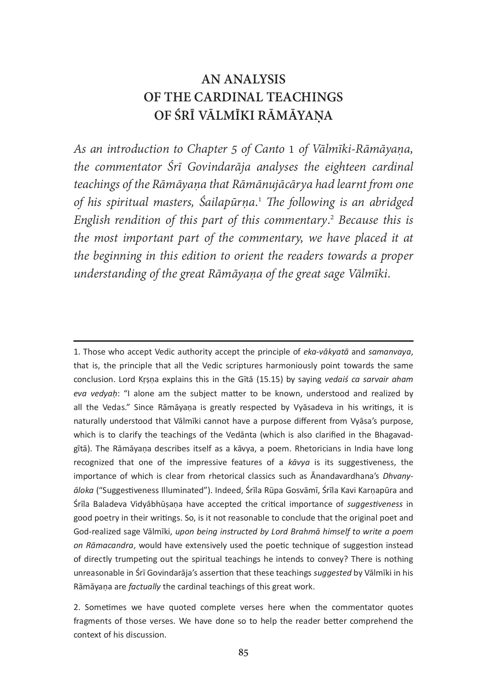# AN ANALYSIS OF THE CARDINAL TEACHINGS OF ŚRĪ VĀLMĪKI RĀMĀYAŅA

As an introduction to Chapter 5 of Canto 1 of Vālmīki-Rāmāyana, the commentator Śrī Govindarāja analyses the eighteen cardinal teachings of the Rāmāyaṇa that Rāmānujācārya had learnt from one of his spiritual masters, Śailapūrṇa.<sup>1</sup> The following is an abridged English rendition of this part of this commentary.<sup>2</sup> Because this is the most important part of the commentary, we have placed it at the beginning in this edition to orient the readers towards a proper understanding of the great Rāmāyana of the great sage Vālmīki.

1. Those who accept Vedic authority accept the principle of *eka-vākyatā* and samanvaya, that is, the principle that all the Vedic scriptures harmoniously point towards the same conclusion. Lord Krṣṇa explains this in the Gītā (15.15) by saying vedais ca sarvair aham eva vedyah: "I alone am the subject matter to be known, understood and realized by all the Vedas." Since Rāmāyana is greatly respected by Vyāsadeva in his writings, it is naturally understood that Valmiki cannot have a purpose different from Vyasa's purpose, which is to clarify the teachings of the Vedanta (which is also clarified in the Bhagavadgītā). The Rāmāyaņa describes itself as a kāvya, a poem. Rhetoricians in India have long recognized that one of the impressive features of a  $k\bar{a}$  vya is its suggestiveness, the importance of which is clear from shotorical eleccies such as  $\bar{A}$  pandavardhana's Dhugnu importance of which is clear from rhetorical classics such as Anandavardhana's Dhvanymperialist in the times is then there are there is a manufacture manufacture.<br>
The Polodove Vidyōbbūsees have assested the critical impertance of suggestiveness in Śrīla Baladeva Vidyābhūṣaṇa have accepted the critical importance of *suggestiveness* in good poetry in their writings. So, is it not reasonable to conclude that the original poet and God-realized sage Vālmīki, upon being instructed by Lord Brahmā himself to write a poem on Rāmacandra, would have extensively used the poetic technique of suggestion instead<br>of directly trumpating out the cairitual teachings be intends to convey? There is nothing of directly trumpeting out the spiritual teachings he intends to convey? There is nothing unreasonable in Śrī Govindarāja's assertion that these teachings *suggested* by Vālmīki in his<br>Bāmāvana are fastually the cardinal teachings of this great work Rāmāyana are *factually* the cardinal teachings of this great work.

2. Sometimes we have quoted complete verses here when the commentator quotes fragments of those verses. We have done so to help the reader better comprehend the context of his discussion.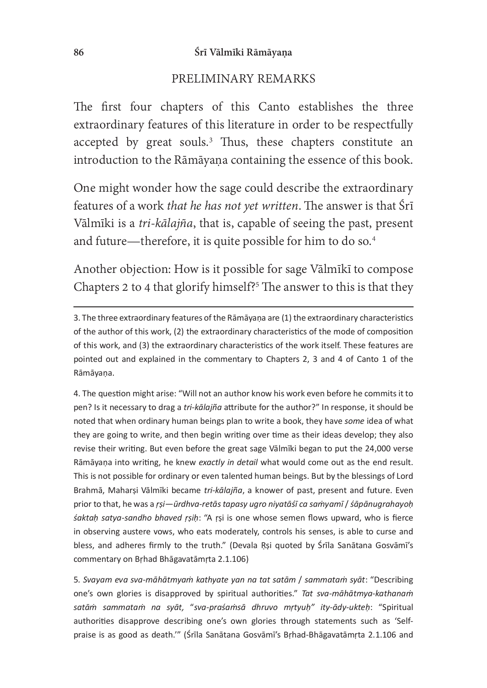#### 86 Śrī Vālmīki Rāmāyaṇa

#### PRELIMINARY REMARKS

The first four chapters of this Canto establishes the three extraordinary features of this literature in order to be respectfully accepted by great souls.<sup>3</sup> Thus, these chapters constitute an introduction to the Rāmāyaṇa containing the essence of this book.

One might wonder how the sage could describe the extraordinary features of a work that he has not yet written. The answer is that Śrī Vālmīki is a tri-kālajña, that is, capable of seeing the past, present and future—therefore, it is quite possible for him to do so.<sup>4</sup>

Another objection: How is it possible for sage Vālmīkī to compose Chapters 2 to 4 that glorify himself?<sup>5</sup> The answer to this is that they

4. The question might arise: "Will not an author know his work even before he commits it to pen? Is it necessary to drag a *tri-kālajña* attribute for the author?" In response, it should be<br>noted that when erdinary human beings plan to write a book, they have same idea of what noted that when ordinary human beings plan to write a book, they have some idea of what they are going to write, and then begin writing over time as their ideas develop; they also revise their writing. But even before the great sage Vālmīki began to put the 24,000 verse Rāmāyaņa into writing, he knew exactly in detail what would come out as the end result. This is not possible for ordinary or even talented human beings. But by the blessings of Lord Brahmā, Maharși Vālmīki became *tri-kālajña*, a knower of past, present and future. Even<br>pries to that he was a rei "*ūrdhus retēs tangsu usse nivetēćī se samuamī ( ćēnēnusrahsush* prior to that, he was a rsi—ūrdhva-retās tapasy ugro niyatāśī ca samyamī / śāpānugrahayoḥ<br>ćaktah satus sandho bhayed rsih: "A rsi is one whose semen flows unward, who is fierce śaktah satya-sandho bhaved rsih: "A rsi is one whose semen flows upward, who is fierce in observing austere vows, who eats moderately, controls his senses, is able to curse and bless, and adheres firmly to the truth." (Devala Rsi quoted by Śrīla Sanātana Gosvāmī's commentary on Brhad Bhagavatamrta 2.1.106)

5. Svayam eva sva-māhātmyam kathyate yan na tat satām / sammatam syāt: "Describing one's own glories is disapproved by spiritual authorities." Tat sva-māhātmya-kathanam satām sammatam na syāt, "sva-praśamsā dhruvo mrtyuh" ity-ādy-ukteh: "Spiritual authorities disapprove describing one's own glories through statements such as 'Selfpraise is as good as death."" (Śrīla Sanātana Gosvāmī's Brhad-Bhāgavatāmrta 2.1.106 and

<sup>3.</sup> The three extraordinary features of the Rāmāyaṇa are (1) the extraordinary characteristics of the author of this work, (2) the extraordinary characteristics of the mode of composition of this work, and (3) the extraordinary characteristics of the work itself. These features are pointed out and explained in the commentary to Chapters 2, 3 and 4 of Canto 1 of the Rāmāyana.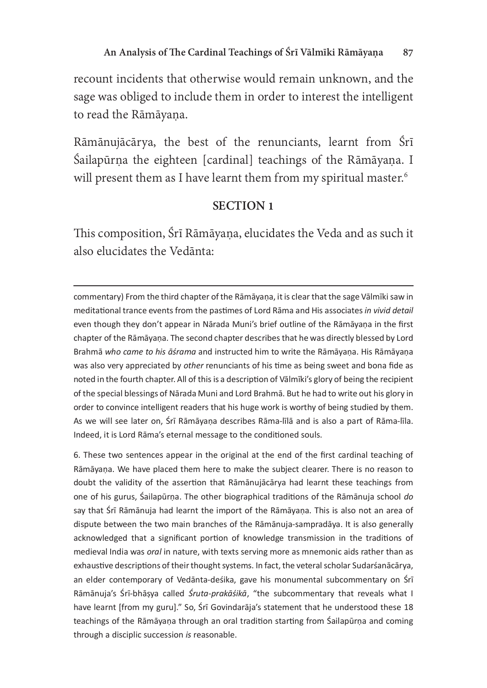recount incidents that otherwise would remain unknown, and the sage was obliged to include them in order to interest the intelligent to read the Rāmāyaṇa.

Rāmānujācārya, the best of the renunciants, learnt from Śrī Śailapūrna the eighteen [cardinal] teachings of the Rāmāyana. I will present them as I have learnt them from my spiritual master.<sup>6</sup>

### SECTION<sub>1</sub>

This composition, Śrī Rāmāyana, elucidates the Veda and as such it also elucidates the Vedānta:

commentary) From the third chapter of the Rāmāyaṇa, it is clear that the sage Vālmīki saw in meditational trance events from the pastimes of Lord Rāma and His associates in vivid detail even though they don't appear in Nārada Muni's brief outline of the Rāmāyana in the first chapter of the Rāmāyaṇa. The second chapter describes that he was directly blessed by Lord Brahmā who came to his āśrama and instructed him to write the Rāmāyana. His Rāmāyana was also very appreciated by other renunciants of his time as being sweet and bona fide as noted in the fourth chapter. All of this is a description of Vālmīki's glory of being the recipient of the special blessings of Nārada Muni and Lord Brahmā. But he had to write out his glory in order to convince intelligent readers that his huge work is worthy of being studied by them. As we will see later on, Śrī Rāmāyaṇa describes Rāma-līlā and is also a part of Rāma-līla. Indeed, it is Lord Rāma's eternal message to the conditioned souls.

6. These two sentences appear in the original at the end of the first cardinal teaching of Rāmāyaṇa. We have placed them here to make the subject clearer. There is no reason to doubt the validity of the assertion that Rāmānujācārya had learnt these teachings from one of his gurus, Sailapūrna. The other biographical traditions of the Rāmānuja school do Since the game, campaign the case are and parameter in the manufacture concerned to dispute between the two main branches of the Rāmānuja-sampradāya. It is also generally acknowledged that a significant portion of knowledge transmission in the traditions of medieval India was *oral* in nature, with texts serving more as mnemonic aids rather than as exhaustive descriptions of their thought systems. In fact, the veteral scholar Sudarśanācārya, an elder contemporary of Vedānta-deśika, gave his monumental subcommentary on Śrī Rāmānuja's Śrī-bhāṣya called *Śruta-prakāśikā*, "the subcommentary that reveals what I<br>have learnt [from my guru]" So Śrī Govindarāja's statement that he understand these 18 have learnt [from my guru]." So, Śrī Govindarāja's statement that he understood these 18 teachings of the Rāmāyana through an oral tradition starting from Sailapūrna and coming through a disciplic succession is reasonable.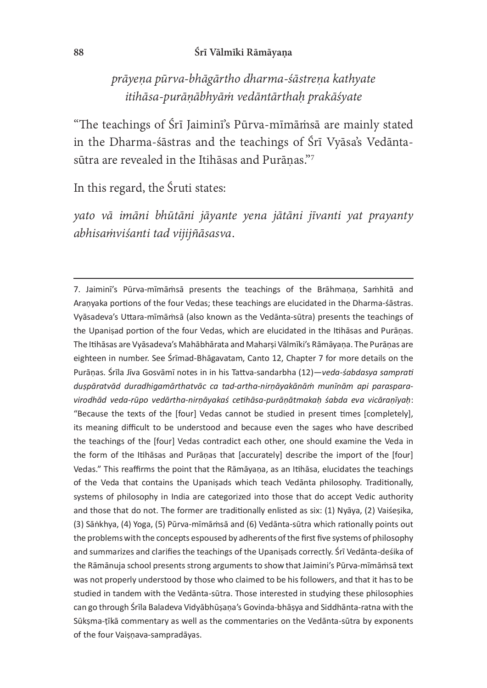#### 88 Śrī Vālmīki Rāmāyaṇa

prāyena pūrva-bhāgārtho dharma-śāstrena kathyate itihāsa-purāṇābhyāṁ vedāntārthaḥ prakāśyate

"The teachings of Śrī Jaiminī's Pūrva-mīmāmsā are mainly stated in the Dharma-śāstras and the teachings of Śrī Vyāsa's Vedāntasūtra are revealed in the Itihāsas and Purāṇas."7

In this regard, the Śruti states:

yato vā imāni bhūtāni jāyante yena jātāni jīvanti yat prayanty abhisaṁviśanti tad vijijñāsasva.

7. Jaiminī's Pūrva-mīmāmsā presents the teachings of the Brāhmaṇa, Samhitā and Aranyaka portions of the four Vedas; these teachings are elucidated in the Dharma-śāstras. Vyāsadeva's Uttara-mīmāmsā (also known as the Vedānta-sūtra) presents the teachings of the Upanisad portion of the four Vedas, which are elucidated in the Itihasas and Puranas. The Itihasas are Vyasadeva's Mahabharata and Maharsi Valmiki's Ramayana. The Puranas are eighteen in number. See Śrīmad-Bhāgavatam, Canto 12, Chapter 7 for more details on the Purānas. Śrīla Jīva Gosvāmī notes in in his Tattva-sandarbha (12)—veda-sabdasva samprati  $\frac{1}{2}$ duṣpāratvād duradhigamārthatvāc ca tad-artha-nirṇāyakānāṁ munīnām api paraspara-<br>visodhād veda rūno vedāstha nirnāvakas satihāsa nurānātmakah sahda ava visāranīvah: virodhād veda-rūpo vedārtha-nirnāyakaś cetihāsa-purānātmakah śabda eva vicāranīyah: "Because the texts of the [four] Vedas cannot be studied in present times [completely], its meaning difficult to be understood and because even the sages who have described the teachings of the [four] Vedas contradict each other, one should examine the Veda in the form of the Itihasas and Puranas that [accurately] describe the import of the [four] Vedas." This reaffirms the point that the Rāmāyaṇa, as an Itihāsa, elucidates the teachings of the Veda that contains the Upanisads which teach Vedanta philosophy. Traditionally, systems of philosophy in India are categorized into those that do accept Vedic authority and those that do not. The former are traditionally enlisted as six: (1) Nyaya, (2) Vaisesika, (3) Sānkhya, (4) Yoga, (5) Pūrva-mīmāmsā and (6) Vedānta-sūtra which rationally points out the problems with the concepts espoused by adherents of the first five systems of philosophy and summarizes and clarifies the teachings of the Upanisads correctly. Srī Vedānta-deśika of the Rāmānuja school presents strong arguments to show that Jaimini's Pūrva-mīmāmsā text was not properly understood by those who claimed to be his followers, and that it has to be studied in tandem with the Vedanta-sūtra. Those interested in studying these philosophies can go through Śrīla Baladeva Vidyābhūṣaṇa's Govinda-bhāṣya and Siddhānta-ratna with the Sūksma-tīkā commentary as well as the commentaries on the Vedānta-sūtra by exponents of the four Vaișnava-sampradāyas.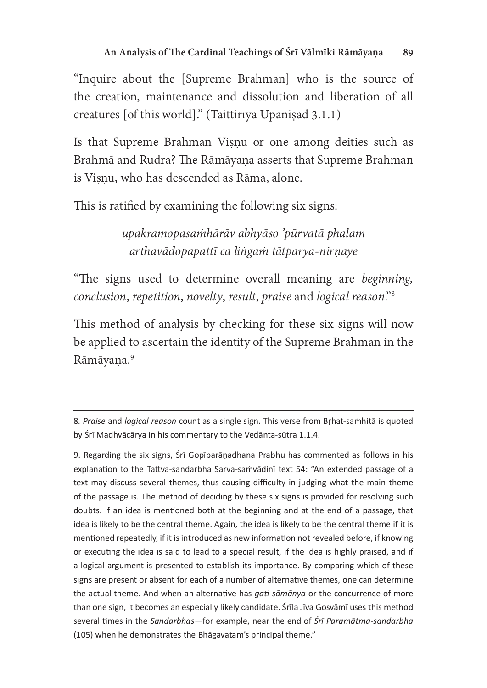"Inquire about the [Supreme Brahman] who is the source o the creation, maintenance and dissolution and liberation of all creatures [of this world]." (Taittirīya Upaniṣad 3.1.1)

Is that Supreme Brahman Viṣṇu or one among deities such as Brahmā and Rudra? The Rāmāyana asserts that Supreme Brahman is Visnu, who has descended as Rāma, alone.

This is ratified by examining the following six signs:

upakramopasaṁhārāv abhyāso 'pūrvatā phalam arthavādopapattī ca liṅgaṁ tātparya-nirṇaye

"The signs used to determine overall meaning are beginning, conclusion, repetition, novelty, result, praise and logical reason."8

This method of analysis by checking for these six signs will now be applied to ascertain the identity of the Supreme Brahman in the Rāmāyana.<sup>9</sup>

9. Regarding the six signs, Srī Gopīparāṇadhana Prabhu has commented as follows in his explanation to the Tattva-sandarbha Sarva-samvadini text 54: "An extended passage of a text may discuss several themes, thus causing difficulty in judging what the main theme of the passage is. The method of deciding by these six signs is provided for resolving such doubts. If an idea is mentioned both at the beginning and at the end of a passage, that idea is likely to be the central theme. Again, the idea is likely to be the central theme if it is mentioned repeatedly, if it is introduced as new information not revealed before, if knowing or executing the idea is said to lead to a special result, if the idea is highly praised, and if a logical argument is presented to establish its importance. By comparing which of these signs are present or absent for each of a number of alternative themes, one can determine the actual theme. And when an alternative has *gati-sāmānya* or the concurrence of more than one sign, it becomes an especially likely candidate. Srila Jiva Gosvāmī uses this method several times in the Sandarbhas—for example, near the end of Srī Paramātma-sandarbha<br>(105) when he demonstrates the Phāgavatam's principal theme." (105) when he demonstrates the Bhagavatam's principal theme."

<sup>8.</sup> Praise and logical reason count as a single sign. This verse from Brhat-samhita is quoted by Śrī Madhvācārya in his commentary to the Vedānta-sūtra 1.1.4.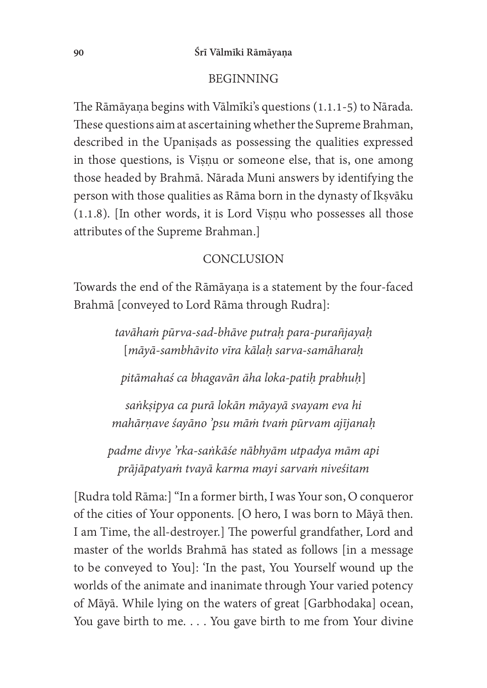#### BEGINNING

The Rāmāyaṇa begins with Vālmīki's questions (1.1.1-5) to Nārada. These questions aim at ascertaining whether the Supreme Brahman, described in the Upaniṣads as possessing the qualities expressed in those questions, is Viṣṇu or someone else, that is, one among those headed by Brahmā. Nārada Muni answers by identifying the person with those qualities as Rāma born in the dynasty of Ikṣvāku (1.1.8). [In other words, it is Lord Viṣṇu who possesses all those attributes of the Supreme Brahman.]

#### **CONCLUSION**

Towards the end of the Rāmāyaṇa is a statement by the four-faced Brahmā [conveyed to Lord Rāma through Rudra]:

> tavāhaṁ pūrva-sad-bhāve putraḥ para-purañjayaḥ [māyā-sambhāvito vīra kālaḥ sarva-samāharaḥ

pitāmahaś ca bhagavān āha loka-patiḥ prabhuḥ]

saṅkṣipya ca purā lokān māyayā svayam eva hi mahārṇave śayāno 'psu māṁ tvaṁ pūrvam ajījanaḥ

padme divye 'rka-saṅkāśe nābhyām utpadya mām api prājāpatyaṁ tvayā karma mayi sarvaṁ niveśitam

[Rudra told Rāma:] "In a former birth, I was Your son, O conqueror of the cities of Your opponents. [O hero, I was born to Māyā then.] I am Time, the all-destroyer.] The powerful grandfather, Lord and master of the worlds Brahmā has stated as follows [in a message to be conveyed to You]: 'In the past, You Yourself wound up the worlds of the animate and inanimate through Your varied potency of Māyā. While lying on the waters of great [Garbhodaka] ocean, You gave birth to me. . . . You gave birth to me from Your divine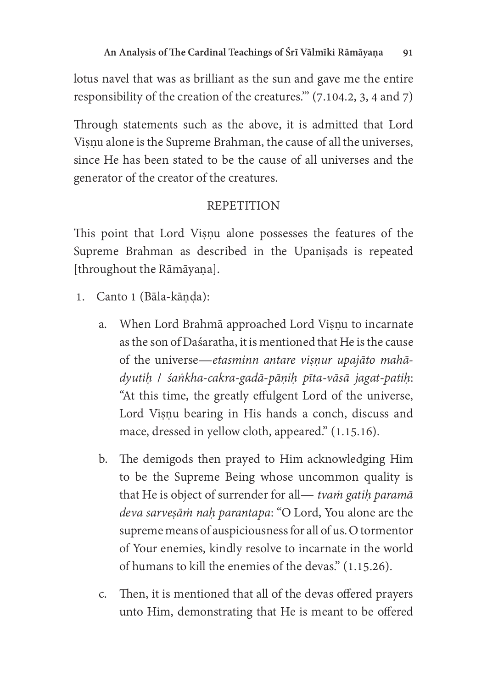lotus navel that was as brilliant as the sun and gave me the entire responsibility of the creation of the creatures." (7.104.2, 3, 4 and 7)

Through statements such as the above, it is admitted that Lord Visnu alone is the Supreme Brahman, the cause of all the universes, since He has been stated to be the cause of all universes and the generator of the creator of the creatures.

# **REPETITION**

This point that Lord Viṣṇu alone possesses the features of the Supreme Brahman as described in the Upaniṣads is repeated [throughout the Rāmāyaṇa].

- 1. Canto 1 (Bāla-kāṇḍa):
	- a. When Lord Brahmā approached Lord Viṣṇu to incarnate as the son of Dasaratha, it is mentioned that He is the cause of the universe—etasminn antare visnur upajāto mahādyutiḥ / śaṅkha-cakra-gadā-pāṇiḥ pīta-vāsā jagat-patiḥ: "At this time, the greatly effulgent Lord of the universe, Lord Viṣṇu bearing in His hands a conch, discuss and mace, dressed in yellow cloth, appeared." (1.15.16).
	- b. The demigods then prayed to Him acknowledging Him to be the Supreme Being whose uncommon quality is that He is object of surrender for all— tvam gatih paramā deva sarvesām nah parantapa: "O Lord, You alone are the supreme means of auspiciousness for all of us. O tormentor of Your enemies, kindly resolve to incarnate in the world of humans to kill the enemies of the devas." (1.15.26).
	- c. Then, it is mentioned that all of the devas offered prayers unto Him, demonstrating that He is meant to be offered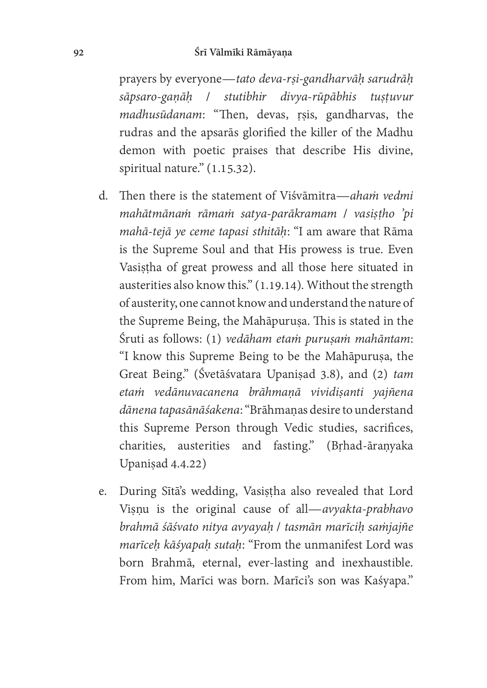#### 92 Śrī Vālmīki Rāmāyaṇa

prayers by everyone—tato deva-rṣi-gandharvāḥ sarudrāḥ sāpsaro-gaṇāḥ / stutibhir divya-rūpābhis tuṣṭuvur madhusūdanam: "Then, devas, rṣis, gandharvas, the rudras and the apsarās glorified the killer of the Madhu demon with poetic praises that describe His divine, spiritual nature." (1.15.32).

- d. Then there is the statement of Visvāmitra—aham vedmi mahātmānaṁ rāmaṁ satya-parākramam / vasiṣṭho 'pi mahā-tejā ye ceme tapasi sthitāḥ: "I am aware that Rāma is the Supreme Soul and that His prowess is true. Even Vasistha of great prowess and all those here situated in austerities also know this." (1.19.14). Without the strength of austerity, one cannot know and understand the nature of the Supreme Being, the Mahāpuruṣa. This is stated in the Śruti as follows: (1) vedāham etam purusam mahāntam: "I know this Supreme Being to be the Mahāpuruṣa, the Great Being." (Śvetāśvatara Upaniṣad 3.8), and (2) tam etaṁ vedānuvacanena brāhmaṇā vividiṣanti yajñena dānena tapasānāśakena: "Brāhmaṇas desire to understand this Supreme Person through Vedic studies, sacrifices, charities, austerities and fasting." (Brhad-āraṇyaka Upaniṣad 4.4.22)
- e. During Sītā's wedding, Vasiṣṭha also revealed that Lord Viṣṇu is the original cause of all—avyakta-prabhavo brahmā śāśvato nitya avyayaḥ / tasmān marīciḥ saṁjajñe marīceh kāśyapah sutah: "From the unmanifest Lord was born Brahmā, eternal, ever-lasting and inexhaustible. From him, Marīci was born. Marīci's son was Kaśyapa."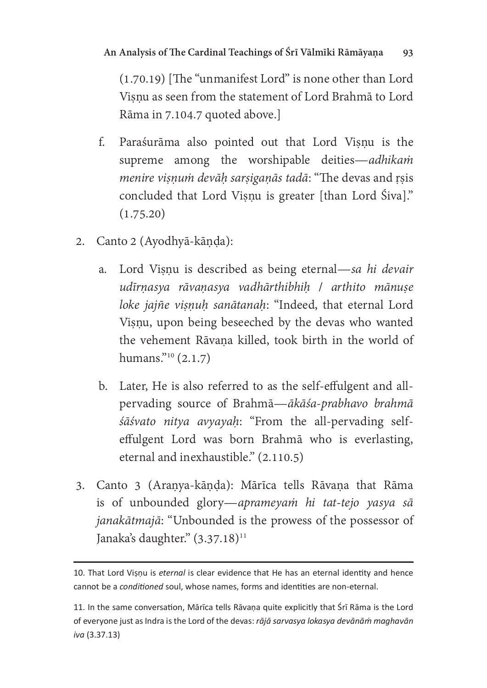$(1.70.19)$  [The "unmanifest Lord" is none other than Lord Viṣṇu as seen from the statement of Lord Brahmā to Lord Rāma in 7.104.7 quoted above.]

- . Paraśurāma also pointed out that Lord Viṣṇu is the supreme among the worshipable deities—adhikam menire visnum devāh sarsiganās tadā: "The devas and rsis concluded that Lord Visnu is greater [than Lord Śiva]."  $(1.75.20)$
- 2. Canto 2 (Ayodhyā-kāṇḍa):
	- a. Lord Viṣṇu is described as being eternal—sa hi devair udīrnasya rāvaņasya vadhārthibhih / arthito mānuṣe loke jajñe viṣṇuḥ sanātanaḥ: "Indeed, that eternal Lord Viṣṇu, upon being beseeched by the devas who wanted the vehement Rāvana killed, took birth in the world of humans."<sup>10</sup> (2.1.7)
	- b. Later, He is also referred to as the self-effulgent and allpervading source of Brahmā—ākāśa-prabhavo brahmā śāśvato nitya avyayah: "From the all-pervading selfeffulgent Lord was born Brahmā who is everlasting, eternal and inexhaustible." (2.110.5)
- 3. Canto 3 (Araṇya-kāṇḍa): Mārīca tells Rāvaṇa that Rāma is of unbounded glory—aprameyam hi tat-tejo yasya sā janakātmajā: "Unbounded is the prowess of the possessor of Janaka's daughter." (3.37.18)<sup>11</sup>

<sup>10.</sup> That Lord Visnu is eternal is clear evidence that He has an eternal identity and hence cannot be a conditioned soul, whose names, forms and identities are non-eternal.

<sup>11.</sup> In the same conversation, Mārīca tells Rāvana quite explicitly that Śrī Rāma is the Lord of everyone just as Indra is the Lord of the devas: rājā sarvasya lokasya devānām maghavān<br>iva (3.37.13) iva (3.37.13)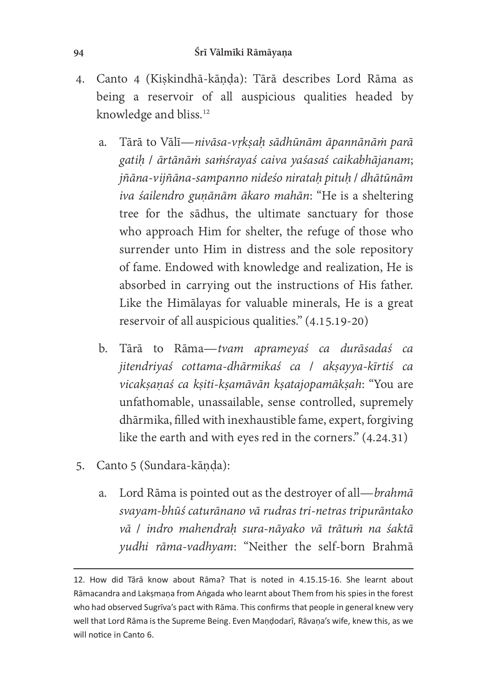- 4. Canto 4 (Kiṣkindhā-kāṇḍa): ārā describes Lord Rāma as being a reservoir of all auspicious qualities headed by knowledge and bliss.<sup>12</sup>
	- a. Tārā to Vālī—nivāsa-vrksah sādhūnām āpannānām parā gatiḥ / ārtānāṁ saṁśrayaś caiva yaśasaś caikabhājanam; jñāna-vijñāna-sampanno nideśo nirataḥ pituḥ / dhātūnām iva śailendro gunānām ākaro mahān: "He is a sheltering tree for the sādhus, the ultimate sanctuary for those who approach Him for shelter, the refuge of those who surrender unto Him in distress and the sole repository of fame. Endowed with knowledge and realization, He is absorbed in carrying out the instructions of His father. Like the Himālayas for valuable minerals, He is a great reservoir of all auspicious qualities."  $(4.15.19-20)$
	- b. ārā to Rāma—tvam aprameyaś ca durāsadaś ca jitendriyaś cottama-dhārmikaś ca / akṣayya-kīrtiś ca vicakṣaṇaś ca kṣiti-kṣamāvān kṣatajopamākṣah: "You are unfathomable, unassailable, sense controlled, supremely dhārmika, filled with inexhaustible fame, expert, forgiving like the earth and with eyes red in the corners." (4.24.31)
- 5. Canto 5 (Sundara-kāṇḍa):
	- a. Lord Rāma is pointed out as the destroyer of all—brahmā svayam-bhūś caturānano vā rudras tri-netras tripurāntako vā / indro mahendraḥ sura-nāyako vā trātuṁ na śaktā yudhi rāma-vadhyam: "Neither the self-born Brahmā

<sup>12.</sup> How did Tārā know about Rāma? That is noted in 4.15.15-16. She learnt about Rāmacandra and Laksmana from Angada who learnt about Them from his spies in the forest who had observed Sugrīva's pact with Rāma. This confirms that people in general knew very well that Lord Rāma is the Supreme Being. Even Mandodarī, Rāvana's wife, knew this, as we will notice in Canto 6.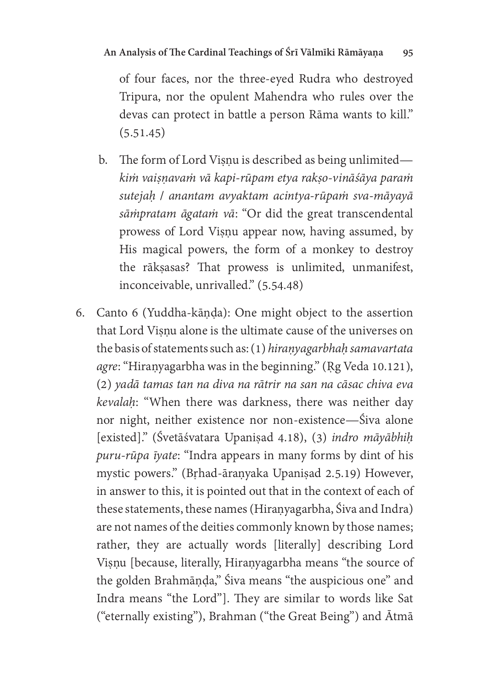of four faces, nor the three-eyed Rudra who destroyed Tripura, nor the opulent Mahendra who rules over the devas can protect in battle a person Rāma wants to kill."  $(5.51.45)$ 

- b. The form of Lord Visnu is described as being unlimited kiṁ vaiṣṇavaṁ vā kapi-rūpam etya rakṣo-vināśāya paraṁ sutejaḥ / anantam avyaktam acintya-rūpaṁ sva-māyayā sāṁpratam āgataṁ vā: "Or did the great transcendental prowess of Lord Visnu appear now, having assumed, by His magical powers, the form of a monkey to destroy the rākṣasas? That prowess is unlimited, unmanifest, inconceivable, unrivalled." (5.54.48)
- 6. Canto 6 (Yuddha-kāṇḍa): One might object to the assertion that Lord Visnu alone is the ultimate cause of the universes on the basis of statements such as:  $(1)$  hiranyagarbhaḥ samavartata agre: "Hiraṇyagarbha was in the beginning." (Rg Veda 10.121), (2) yadā tamas tan na diva na rātrir na san na cāsac chiva eva kevalaḥ: "When there was darkness, there was neither day nor night, neither existence nor non-existence—Śiva alone [existed]." (Śvetāśvatara Upaniṣad 4.18), (3) indro māyābhiḥ puru-rūpa īyate: "Indra appears in many forms by dint of his mystic powers." (Bṛhad-āraṇyaka Upaniṣad 2.5.19) However, in answer to this, it is pointed out that in the context of each of these statements, these names (Hiraṇyagarbha, Śiva and Indra) are not names of the deities commonly known by those names; rather, they are actually words [literally] describing Lord Viṣṇu [because, literally, Hiraṇyagarbha means "the source of the golden Brahmāṇḍa," Śiva means "the auspicious one" and Indra means "the Lord"]. They are similar to words like Sat ("eternally existing"), Brahman ("the Great Being") and Ātmā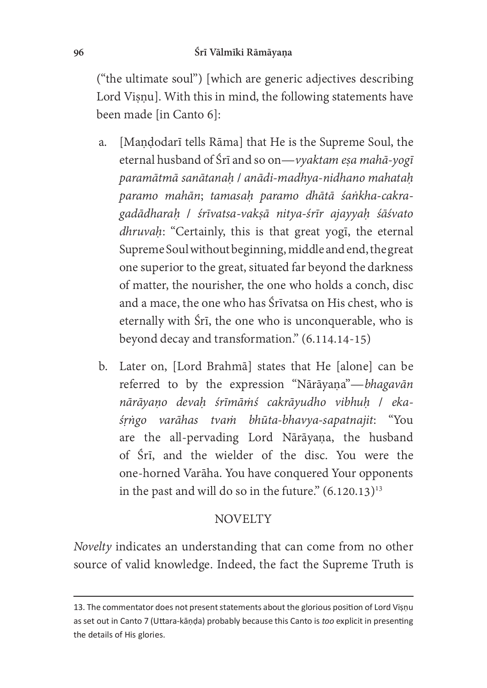("the ultimate soul") [which are generic adjectives describing Lord Viṣṇu]. With this in mind, the following statements have been made [in Canto 6]:

- a. [Maṇḍodarī tells Rāma] that He is the Supreme Soul, the eternal husband of Śrī and so on—vyaktam esa mahā-yogī paramātmā sanātanaḥ / anādi-madhya-nidhano mahataḥ paramo mahān; tamasaḥ paramo dhātā śaṅkha-cakragadādharaḥ / śrīvatsa-vakṣā nitya-śrīr ajayyaḥ śāśvato dhruvaḥ: "Certainly, this is that great yogī, the eternal Supreme Soul without beginning, middle and end, the great one superior to the great, situated far beyond the darkness of matter, the nourisher, the one who holds a conch, disc and a mace, the one who has Śrīvatsa on His chest, who is eternally with Śrī, the one who is unconquerable, who is beyond decay and transformation." (6.114.14-15)
- b. Later on, [Lord Brahmā] states that He [alone] can be referred to by the expression "Nārāyaṇa"—bhagavān nārāyaṇo devaḥ śrīmāṁś cakrāyudho vibhuḥ / ekaśṛṅgo varāhas tvaṁ bhūta-bhavya-sapatnajit: "You are the all-pervading Lord Nārāyana, the husband of Śrī, and the wielder of the disc. You were the one-horned Varāha. You have conquered Your opponents in the past and will do so in the future."  $(6.120.13)^{13}$

# **NOVELTY**

Novelty indicates an understanding that can come from no other source of valid knowledge. Indeed, the fact the Supreme Truth is

<sup>13.</sup> The commentator does not present statements about the glorious position of Lord Visnu as set out in Canto 7 (Uttara-kāņḍa) probably because this Canto is too explicit in presenting the details of His glories.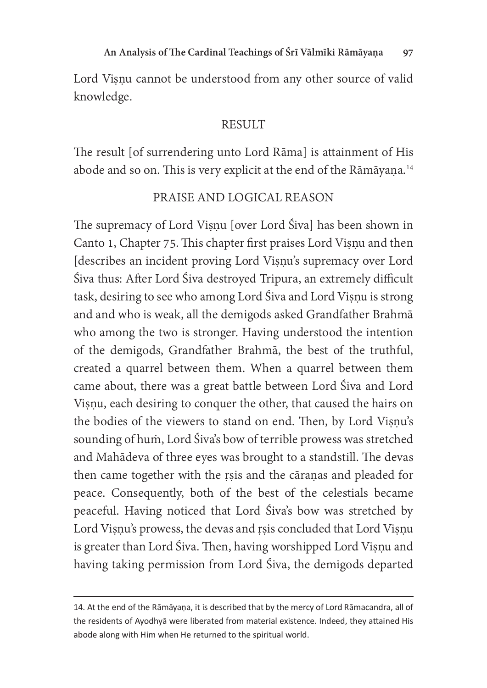Lord Visnu cannot be understood from any other source of valid knowledge.

### **RESULT**

The result [of surrendering unto Lord Rāma] is attainment of His abode and so on. This is very explicit at the end of the Rāmāyaṇa.<sup>14</sup>

### PRAISE AND LOGICAL REASON

The supremacy of Lord Viṣṇu [over Lord Śiva] has been shown in Canto 1, Chapter 75. This chapter first praises Lord Viṣṇu and then [describes an incident proving Lord Viṣṇu's supremacy over Lord Śiva thus: After Lord Śiva destroyed Tripura, an extremely difficult task, desiring to see who among Lord Śiva and Lord Viṣṇu is strong and and who is weak, all the demigods asked Grandfather Brahmā who among the two is stronger. Having understood the intention of the demigods, Grandfather Brahmā, the best of the truthful, created a quarrel between them. When a quarrel between them came about, there was a great battle between Lord Śiva and Lord Viṣṇu, each desiring to conquer the other, that caused the hairs on the bodies of the viewers to stand on end. Then, by Lord Viṣṇu's sounding of hum, Lord Śiva's bow of terrible prowess was stretched and Mahādeva of three eyes was brought to a standstill. The devas then came together with the rṣis and the cāraṇas and pleaded for peace. Consequently, both of the best of the celestials became peaceful. Having noticed that Lord Śiva's bow was stretched by Lord Viṣṇu's prowess, the devas and ṛṣis concluded that Lord Viṣṇu is greater than Lord Śiva. Then, having worshipped Lord Viṣṇu and having taking permission from Lord Śiva, the demigods departed

<sup>14.</sup> At the end of the Rāmāyaṇa, it is described that by the mercy of Lord Rāmacandra, all of the residents of Ayodhyā were liberated from material existence. Indeed, they attained His abode along with Him when He returned to the spiritual world.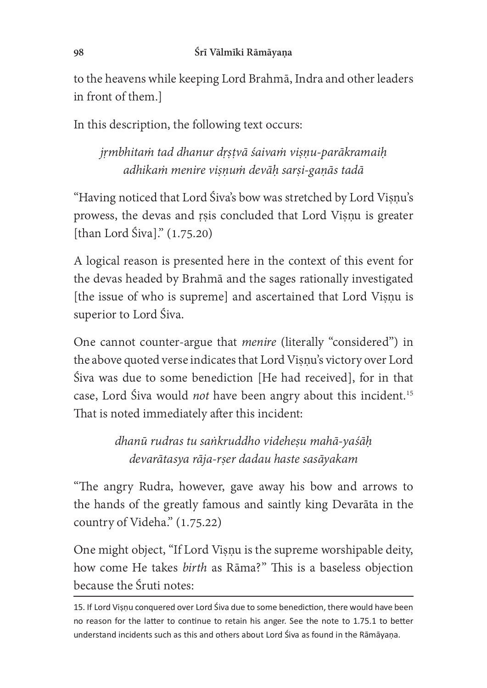to the heavens while keeping Lord Brahmā, Indra and other leaders in front of them.]

In this description, the following text occurs:

jṛmbhitaṁ tad dhanur dṛṣṭvā śaivaṁ viṣṇu-parākramaiḥ adhikaṁ menire viṣṇuṁ devāḥ sarṣi-gaṇās tadā

"Having noticed that Lord Śiva's bow was stretched by Lord Viṣṇu's prowess, the devas and ṛṣis concluded that Lord Viṣṇu is greater [than Lord Śiva]." (1.75.20)

A logical reason is presented here in the context of this event for the devas headed by Brahmā and the sages rationally investigated [the issue of who is supreme] and ascertained that Lord Viṣṇu is superior to Lord Śiva.

One cannot counter-argue that menire (literally "considered") in the above quoted verse indicates that Lord Viṣṇu's victory over Lord Siva was due to some benediction [He had received], for in that case, Lord Śiva would *not* have been angry about this incident.<sup>15</sup> That is noted immediately after this incident:

> dhanū rudras tu saṅkruddho videheṣu mahā-yaśāḥ devarātasya rāja-rṣer dadau haste sasāyakam

"The angry Rudra, however, gave away his bow and arrows to the hands of the greatly famous and saintly king Devarāta in the country of Videha."  $(1.75.22)$ 

One might object, "If Lord Visnu is the supreme worshipable deity, how come He takes *birth* as Rāma?" This is a baseless objection because the Śruti notes:

<sup>15.</sup> If Lord Vișņu conquered over Lord Śiva due to some benediction, there would have been no reason for the latter to continue to retain his anger. See the note to 1.75.1 to better understand incidents such as this and others about Lord Siva as found in the Rāmāyana.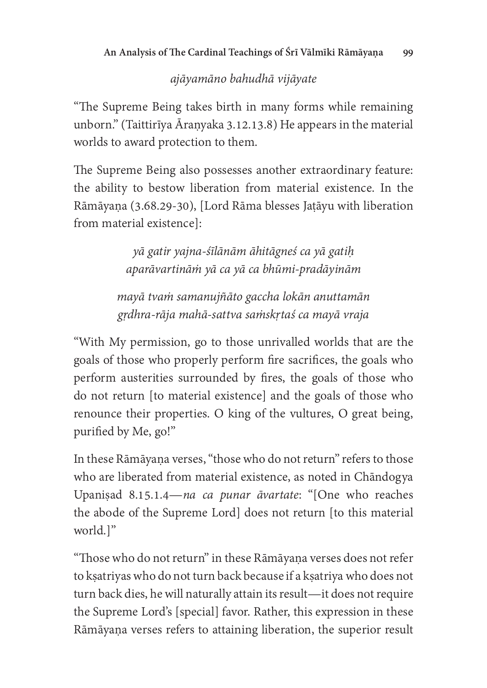## ajāyamāno bahudhā vijāyate

"The Supreme Being takes birth in many forms while remaining unborn." (Taittirīya Āraṇyaka 3.12.13.8) He appears in the material worlds to award protection to them.

The Supreme Being also possesses another extraordinary feature: the ability to bestow liberation from material existence. In the Rāmāyaṇa (3.68.29-30), [Lord Rāma blesses Jaṭāyu with liberation from material existencel:

> yā gatir yajna-śīlānām āhitāgneś ca yā gatiḥ aparāvartināṁ yā ca yā ca bhūmi-pradāyinām

mayā tvaṁ samanujñāto gaccha lokān anuttamān gṛdhra-rāja mahā-sattva saṁskṛtaś ca mayā vraja

"With My permission, go to those unrivalled worlds that are the goals of those who properly perform fire sacrifices, the goals who perform austerities surrounded by fires, the goals of those who do not return [to material existence] and the goals of those who renounce their properties. O king of the vultures, O great being, purified by Me, go!"

In these Rāmāyana verses, "those who do not return" refers to those who are liberated from material existence, as noted in Chāndogya Upaniṣad 8.15.1.4—na ca punar āvartate: "[One who reaches the abode of the Supreme Lord] does not return [to this material] world.]"

"Those who do not return" in these Rāmāyaṇa verses does not refer to kṣatriyas who do not turn back because if a kṣatriya who does not turn back dies, he will naturally attain its result—it does not require the Supreme Lord's [special] favor. Rather, this expression in these Rāmāyaṇa verses refers to attaining liberation, the superior result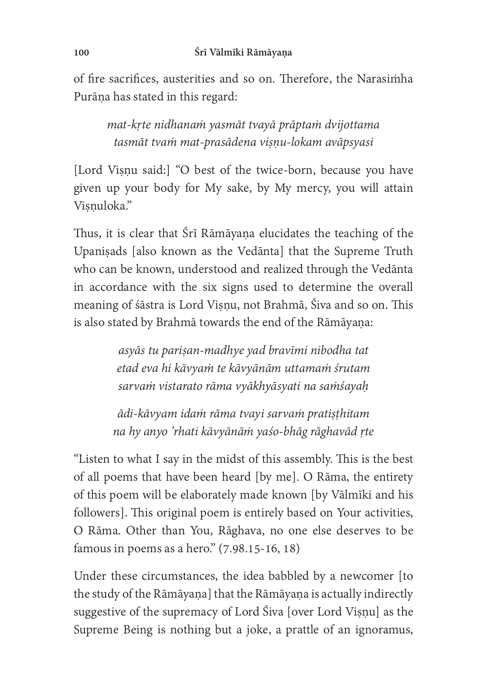of fire sacrifices, austerities and so on. Therefore, the Narasimha Purāṇa has stated in this regard:

mat-kṛte nidhanaṁ yasmāt tvayā prāptaṁ dvijottama tasmāt tvaṁ mat-prasādena viṣṇu-lokam avāpsyasi

[Lord Viṣṇu said:] "O best of the twice-born, because you have given up your body for My sake, by My mercy, you will attain Viṣṇuloka."

Thus, it is clear that Śrī Rāmāyaṇa elucidates the teaching of the Upanisads [also known as the Vedānta] that the Supreme Truth who can be known, understood and realized through the Vedānta in accordance with the six signs used to determine the overall meaning of śāstra is Lord Viṣṇu, not Brahmā, Śiva and so on. This is also stated by Brahmā towards the end of the Rāmāyaṇa:

> asyās tu pariṣan-madhye yad bravīmi nibodha tat etad eva hi kāvyaṁ te kāvyānām uttamaṁ śrutam sarvaṁ vistarato rāma vyākhyāsyati na saṁśayaḥ

ādi-kāvyam idaṁ rāma tvayi sarvaṁ pratiṣṭhitam na hy anyo 'rhati kāvyānāṁ yaśo-bhāg rāghavād ṛte

"Listen to what I say in the midst of this assembly. This is the best of all poems that have been heard [by me]. O Rāma, the entirety of this poem will be elaborately made known [by Vālmīki and his followers]. This original poem is entirely based on Your activities, O Rāma. Other than You, Rāghava, no one else deserves to be famous in poems as a hero."  $(7.98.15-16, 18)$ 

Under these circumstances, the idea babbled by a newcomer [to the study of the Rāmāyana] that the Rāmāyana is actually indirectly suggestive of the supremacy of Lord Śiva [over Lord Visnu] as the Supreme Being is nothing but a joke, a prattle of an ignoramus,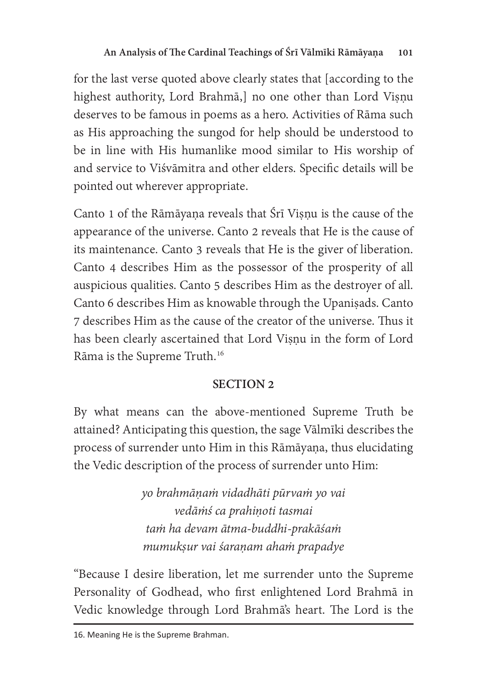for the last verse quoted above clearly states that [according to the highest authority, Lord Brahmā,] no one other than Lord Viṣṇu deserves to be famous in poems as a hero. Activities of Rāma such as His approaching the sungod for help should be understood to be in line with His humanlike mood similar to His worship o and service to Viśvāmitra and other elders. Specific details will be pointed out wherever appropriate.

Canto 1 of the Rāmāyaṇa reveals that Śrī Viṣṇu is the cause of the appearance of the universe. Canto 2 reveals that He is the cause of its maintenance. Canto 3 reveals that He is the giver of liberation. Canto 4 describes Him as the possessor of the prosperity of all auspicious qualities. Canto 5 describes Him as the destroyer of all. Canto 6 describes Him as knowable through the Upaniṣads. Canto 7 describes Him as the cause of the creator of the universe. Thus it has been clearly ascertained that Lord Visnu in the form of Lord Rāma is the Supreme Truth.<sup>16</sup>

# SECTION<sub>2</sub>

By what means can the above-mentioned Supreme Truth be attained? Anticipating this question, the sage Vālmīki describes the process of surrender unto Him in this Rāmāyaṇa, thus elucidating the Vedic description of the process of surrender unto Him:

> yo brahmāṇaṁ vidadhāti pūrvaṁ yo vai vedāṁś ca prahiṇoti tasmai taṁ ha devam ātma-buddhi-prakāśaṁ mumukṣur vai śaraṇam ahaṁ prapadye

"Because I desire liberation, let me surrender unto the Supreme Personality of Godhead, who first enlightened Lord Brahmā in Vedic knowledge through Lord Brahma's heart. The Lord is the

<sup>16.</sup> Meaning He is the Supreme Brahman.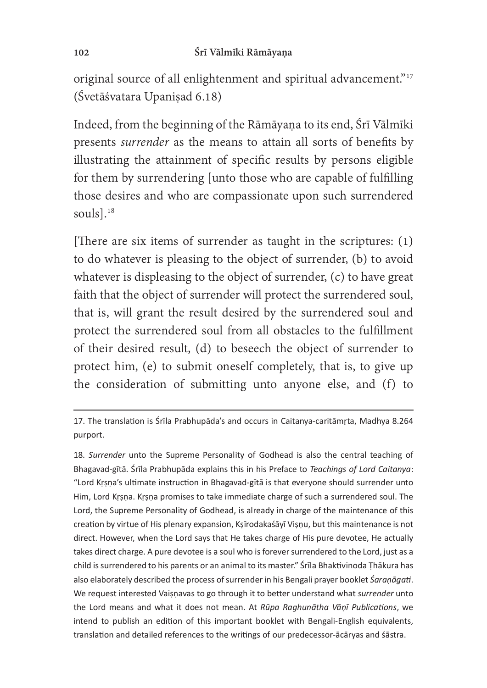original source of all enlightenment and spiritual advancement."<sup>17</sup> (Śvetāśvatara Upaniṣad 6.18)

Indeed, from the beginning of the Rāmāyaṇa to its end, Śrī Vālmīki presents surrender as the means to attain all sorts of benefits by illustrating the attainment of specific results by persons eligible for them by surrendering [unto those who are capable of fulfilling those desires and who are compassionate upon such surrendered souls].<sup>18</sup>

[There are six items of surrender as taught in the scriptures:  $(1)$ ] to do whatever is pleasing to the object of surrender, (b) to avoid whatever is displeasing to the object of surrender, (c) to have great faith that the object of surrender will protect the surrendered soul, that is, will grant the result desired by the surrendered soul and protect the surrendered soul from all obstacles to the fulfillment of their desired result, (d) to beseech the object of surrender to protect him, (e) to submit oneself completely, that is, to give up the consideration of submitting unto anyone else, and (f) to

18. Surrender unto the Supreme Personality of Godhead is also the central teaching of Bhagavad-gītā. Śrīla Prabhupāda explains this in his Preface to Teachings of Lord Caitanya:<br>"Lord Krope's ultimate instruction in Bhagavad gītā is that overvene should surrender unto "Lord Krsna's ultimate instruction in Bhagavad-gītā is that everyone should surrender unto Him, Lord Krsna. Krsna promises to take immediate charge of such a surrendered soul. The Lord, the Supreme Personality of Godhead, is already in charge of the maintenance of this creation by virtue of His plenary expansion, Kṣīrodakaśāyī Viṣṇu, but this maintenance is not direct. However, when the Lord says that He takes charge of His pure devotee, He actually takes direct charge. A pure devotee is a soul who is forever surrendered to the Lord, just as a child is surrendered to his parents or an animal to its master." Srīla Bhaktivinoda Thākura has also elaborately described the process of surrender in his Bengali prayer booklet *Śaraṇāgati*.<br>We request interested Veisnaues to so through it to better understand what surrender unto We request interested Vaisnavas to go through it to better understand what *surrender* unto<br>the Lard means and what it does not mean. At *Būng Bashunētha Vēnī Bublications*, we the Lord means and what it does not mean. At Rūpa Raghunātha Vāṇī Publications, we<br>intend to publish an edition of this important booklet with Bongali English equivalents. intend to publish an edition of this important booklet with Bengali-English equivalents, translation and detailed references to the writings of our predecessor-ācāryas and śāstra.

<sup>17.</sup> The translation is Śrīla Prabhupāda's and occurs in Caitanya-caritāmrta, Madhya 8.264 purport.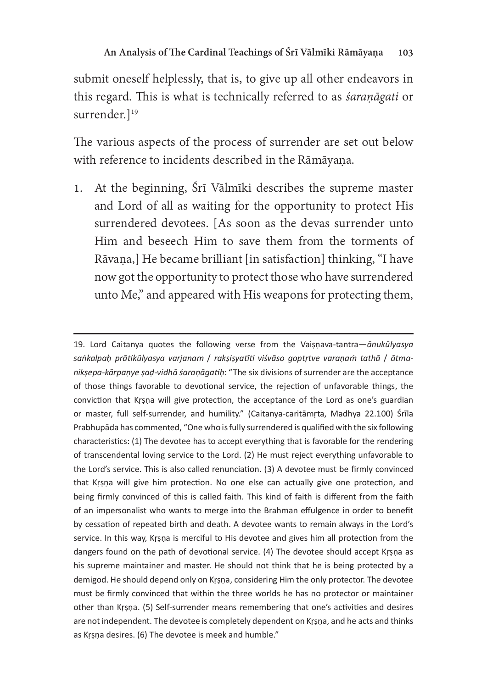submit oneself helplessly, that is, to give up all other endeavors in this regard. This is what is technically referred to as *śaraṇāgati* or surrender.]<sup>19</sup>

The various aspects of the process of surrender are set out below with reference to incidents described in the Rāmāyaṇa.

1. At the beginning, Śrī Vālmīki describes the supreme master and Lord of all as waiting for the opportunity to protect His surrendered devotees. [As soon as the devas surrender unto Him and beseech Him to save them from the torments of Rāvaṇa,] He became brilliant [in satisaction] thinking, "I have now got the opportunity to protect those who have surrendered unto Me," and appeared with His weapons for protecting them,

<sup>19.</sup> Lord Caitanya quotes the following verse from the Vaisnava-tantra-anukulyasya  $\frac{1}{2}$ saṅkalpaḥ prātikūlyasya varjanam / rakṣiṣyatīti viśvāso goptṛtve varaṇaṁ tathā / ātma-<br>niksena kārpanye sad vidhā śaraṇāaatib: "The six divisions of surrender are the assentance niksepa-kārpanye sad-vidhā śaranāgatih: "The six divisions of surrender are the acceptance of those things favorable to devotional service, the rejection of unfavorable things, the conviction that Krsna will give protection, the acceptance of the Lord as one's guardian or master, full self-surrender, and humility." (Caitanya-caritamrta, Madhya 22.100) Srila Prabhupāda has commented, "One who is fully surrendered is qualified with the six following characteristics: (1) The devotee has to accept everything that is favorable for the rendering of transcendental loving service to the Lord. (2) He must reject everything unfavorable to the Lord's service. This is also called renunciation. (3) A devotee must be firmly convinced that Krsna will give him protection. No one else can actually give one protection, and being firmly convinced of this is called faith. This kind of faith is different from the faith of an impersonalist who wants to merge into the Brahman effulgence in order to benefit by cessation of repeated birth and death. A devotee wants to remain always in the Lord's service. In this way, Krsna is merciful to His devotee and gives him all protection from the dangers found on the path of devotional service. (4) The devotee should accept Krsna as his supreme maintainer and master. He should not think that he is being protected by a demigod. He should depend only on Krsna, considering Him the only protector. The devotee must be firmly convinced that within the three worlds he has no protector or maintainer other than Krsna. (5) Self-surrender means remembering that one's activities and desires are not independent. The devotee is completely dependent on Krsna, and he acts and thinks as Krsna desires. (6) The devotee is meek and humble."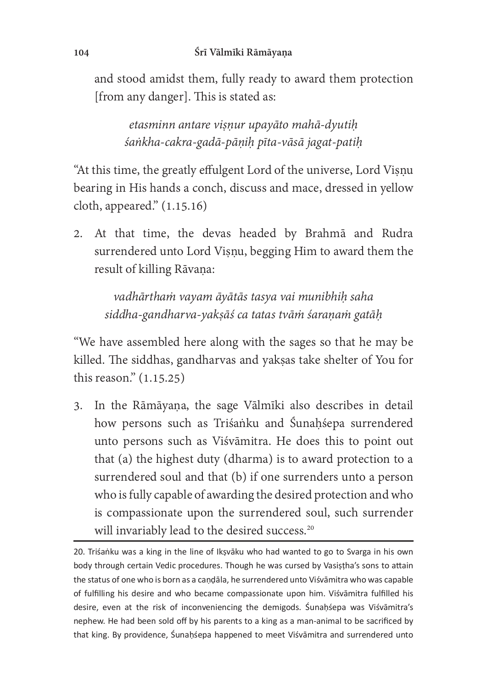and stood amidst them, fully ready to award them protection [from any danger]. This is stated as:

etasminn antare viṣṇur upayāto mahā-dyutiḥ śaṅkha-cakra-gadā-pāṇiḥ pīta-vāsā jagat-patiḥ

"At this time, the greatly effulgent Lord of the universe, Lord Viṣṇu bearing in His hands a conch, discuss and mace, dressed in yellow cloth, appeared." (1.15.16)

2. At that time, the devas headed by Brahmā and Rudra surrendered unto Lord Visnu, begging Him to award them the result of killing Rāvaṇa:

vadhārtham vayam āyātās tasya vai munibhih saha siddha-gandharva-yakṣāś ca tatas tvāṁ śaraṇaṁ gatāḥ

"We have assembled here along with the sages so that he may be killed. The siddhas, gandharvas and yakṣas take shelter of You for this reason." (1.15.25)

3. In the Rāmāyaṇa, the sage Vālmīki also describes in detail how persons such as Triśaṅku and Śunaḥśepa surrendered unto persons such as Viśvāmitra. He does this to point out that (a) the highest duty (dharma) is to award protection to a surrendered soul and that (b) if one surrenders unto a person who is fully capable of awarding the desired protection and who is compassionate upon the surrendered soul, such surrender will invariably lead to the desired success.<sup>20</sup>

20. Triśanku was a king in the line of Ikṣvāku who had wanted to go to Svarga in his own body through certain Vedic procedures. Though he was cursed by Vasistha's sons to attain the status of one who is born as a candala, he surrendered unto Visvamitra who was capable of fulfilling his desire and who became compassionate upon him. Viśvāmitra fulfilled his desire, even at the risk of inconveniencing the demigods. Sunahsepa was Visvamitra's nephew. He had been sold off by his parents to a king as a man-animal to be sacrificed by that king. By providence, Sunahsepa happened to meet Visvamitra and surrendered unto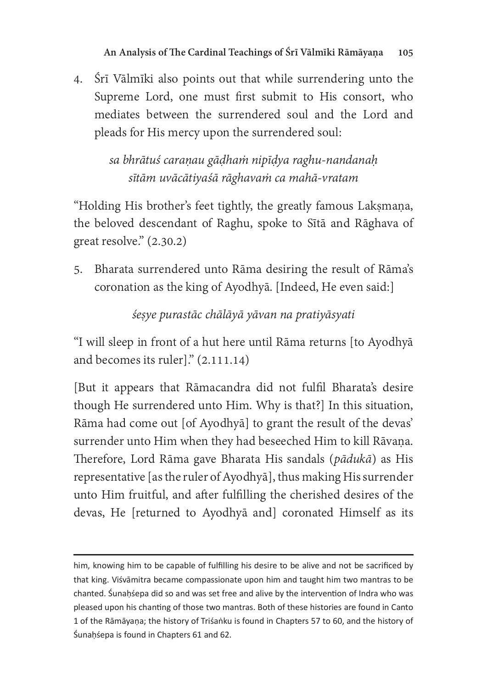4. Śrī Vālmīki also points out that while surrendering unto the Supreme Lord, one must first submit to His consort, who mediates between the surrendered soul and the Lord and pleads for His mercy upon the surrendered soul:

> sa bhrātuś caranau gādhaṁ nipīdya raghu-nandanah sītām uvācātiyaśā rāghavaṁ ca mahā-vratam

"Holding His brother's feet tightly, the greatly famous Laksmana, the beloved descendant of Raghu, spoke to Sītā and Rāghava of great resolve." (2.30.2)

5. Bharata surrendered unto Rāma desiring the result of Rāma's coronation as the king of Ayodhyā. [Indeed, He even said:]

śeṣye purastāc chālāyā yāvan na pratiyāsyati

"I will sleep in front of a hut here until Rāma returns [to Ayodhyā and becomes its ruler]." (2.111.14)

[But it appears that Rāmacandra did not fulfil Bharata's desire though He surrendered unto Him. Why is that?] In this situation, Rāma had come out [of Ayodhyā] to grant the result of the devas' surrender unto Him when they had beseeched Him to kill Rāvaṇa. Therefore, Lord Rāma gave Bharata His sandals (pādukā) as His representative [as the ruler of Ayodhyā], thus making His surrender unto Him fruitful, and after fulfilling the cherished desires of the devas, He [returned to Ayodhya and] coronated Himself as its

him, knowing him to be capable of fulfilling his desire to be alive and not be sacrificed by that king. Viśvāmitra became compassionate upon him and taught him two mantras to be chanted. Sunahsepa did so and was set free and alive by the intervention of Indra who was pleased upon his chanting of those two mantras. Both of these histories are found in Canto 1 of the Rāmāyana; the history of Triśanku is found in Chapters 57 to 60, and the history of Śunahśepa is found in Chapters 61 and 62.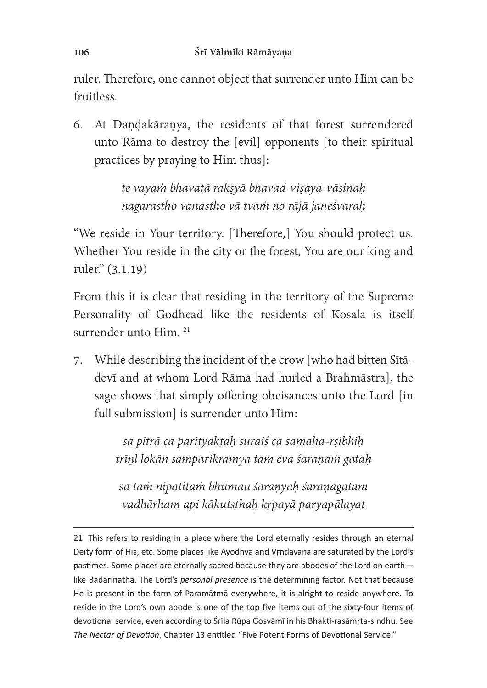ruler. Therefore, one cannot object that surrender unto Him can be ruitless.

6. At Dandakāranya, the residents of that forest surrendered unto Rāma to destroy the [evil] opponents [to their spiritual practices by praying to Him thus]:

> te vayaṁ bhavatā rakṣyā bhavad-viṣaya-vāsinaḥ nagarastho vanastho vā tvaṁ no rājā janeśvaraḥ

"We reside in Your territory. [Therefore,] You should protect us. Whether You reside in the city or the forest, You are our king and ruler." (3.1.19)

From this it is clear that residing in the territory of the Supreme Personality of Godhead like the residents of Kosala is itself surrender unto Him.<sup>21</sup>

7. While describing the incident of the crow [who had bitten Sītādevī and at whom Lord Rāma had hurled a Brahmāstra], the sage shows that simply offering obeisances unto the Lord [in] full submission] is surrender unto Him:

> sa pitrā ca parityaktah suraiś ca samaha-rṣibhih trīṉl lokān samparikramya tam eva śaraṇaṁ gataḥ

sa taṁ nipatitaṁ bhūmau śaraṇyaḥ śaraṇāgatam vadhārham api kākutsthaḥ kṛpayā paryapālayat

<sup>21.</sup> This refers to residing in a place where the Lord eternally resides through an eternal Deity form of His, etc. Some places like Ayodhya and Vrndavana are saturated by the Lord's pastimes. Some places are eternally sacred because they are abodes of the Lord on earthlike Badarīnātha. The Lord's *personal presence* is the determining factor. Not that because He is present in the form of Paramātmā everywhere, it is alright to reside anywhere. To reside in the Lord's own abode is one of the top five items out of the sixty-four items of devotional service, even according to Śrīla Rūpa Gosvāmī in his Bhakti-rasāmrta-sindhu. See The Nectar of Devotion, Chapter 13 entitled "Five Potent Forms of Devotional Service."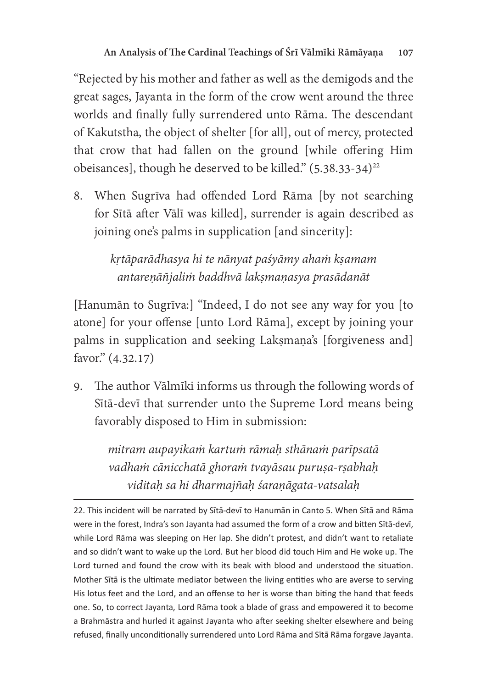"Rejected by his mother and father as well as the demigods and the great sages, Jayanta in the form of the crow went around the three worlds and finally fully surrendered unto Rāma. The descendant of Kakutstha, the object of shelter [for all], out of mercy, protected that crow that had fallen on the ground [while offering Him obeisances], though he deserved to be killed."  $(5.38.33-34)^{22}$ 

8. When Sugrīva had offended Lord Rāma [by not searching for Sītā after Vālī was killed], surrender is again described as joining one's palms in supplication [and sincerity]:

> kṛtāparādhasya hi te nānyat paśyāmy ahaṁ kṣamam antareṇāñjaliṁ baddhvā lakṣmaṇasya prasādanāt

[Hanumān to Sugrīva:] "Indeed, I do not see any way for you [to atone] for your offense [unto Lord Rāma], except by joining your palms in supplication and seeking Lakṣmaṇa's [forgiveness and] avor." (4.32.17)

9. The author Vālmīki informs us through the following words of Sītā-devī that surrender unto the Supreme Lord means being avorably disposed to Him in submission:

mitram aupayikaṁ kartuṁ rāmaḥ sthānaṁ parīpsatā vadhaṁ cānicchatā ghoraṁ tvayāsau puruṣa-rṣabhaḥ viditaḥ sa hi dharmajñaḥ śaraṇāgata-vatsalaḥ

22. This incident will be narrated by Sītā-devī to Hanumān in Canto 5. When Sītā and Rāma were in the forest, Indra's son Jayanta had assumed the form of a crow and bitten Sītā-devī, while Lord Rama was sleeping on Her lap. She didn't protest, and didn't want to retaliate and so didn't want to wake up the Lord. But her blood did touch Him and He woke up. The Lord turned and found the crow with its beak with blood and understood the situation. Mother Sita is the ultimate mediator between the living entities who are averse to serving His lotus feet and the Lord, and an offense to her is worse than biting the hand that feeds one. So, to correct Jayanta, Lord Rāma took a blade of grass and empowered it to become a Brahmāstra and hurled it against Jayanta who after seeking shelter elsewhere and being refused, finally unconditionally surrendered unto Lord Rāma and Sītā Rāma forgave Jayanta.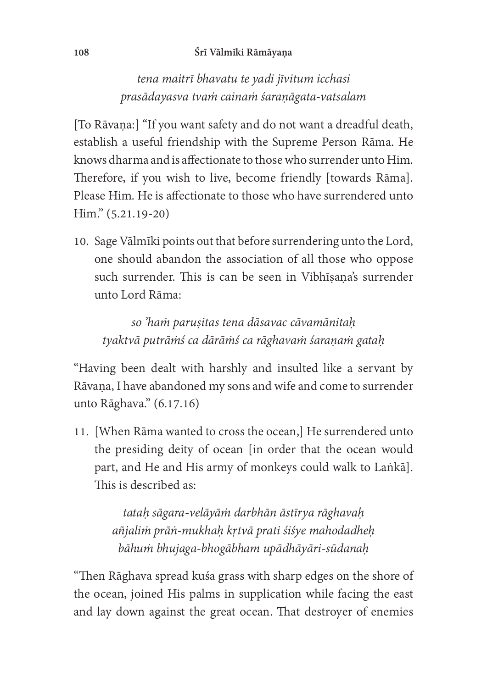#### 108 Śrī Vālmīki Rāmāyaṇa

# tena maitrī bhavatu te yadi jīvitum icchasi prasādayasva tvaṁ cainaṁ śaraṇāgata-vatsalam

[To Rāvana:] "If you want safety and do not want a dreadful death, establish a useful friendship with the Supreme Person Rāma. He knows dharma and is affectionate to those who surrender unto Him. Therefore, if you wish to live, become friendly [towards Rāma]. Please Him. He is affectionate to those who have surrendered unto Him." (5.21.19-20)

10. Sage Vālmīki points out that before surrendering unto the Lord, one should abandon the association of all those who oppose such surrender. This is can be seen in Vibhīṣaṇa's surrender unto Lord Rāma:

so 'haṁ paruṣitas tena dāsavac cāvamānitaḥ tyaktvā putrāṁś ca dārāṁś ca rāghavaṁ śaraṇaṁ gataḥ

"Having been dealt with harshly and insulted like a servant by Rāvana, I have abandoned my sons and wife and come to surrender unto Rāghava." (6.17.16)

11. [When Rāma wanted to cross the ocean,] He surrendered unto the presiding deity of ocean [in order that the ocean would part, and He and His army of monkeys could walk to Laṅkā]. This is described as:

> tataḥ sāgara-velāyāṁ darbhān āstīrya rāghavaḥ añjaliṁ prāṅ-mukhaḥ kṛtvā prati śiśye mahodadheḥ bāhuṁ bhujaga-bhogābham upādhāyāri-sūdanaḥ

"Then Rāghava spread kuśa grass with sharp edges on the shore of the ocean, joined His palms in supplication while facing the east and lay down against the great ocean. That destroyer of enemies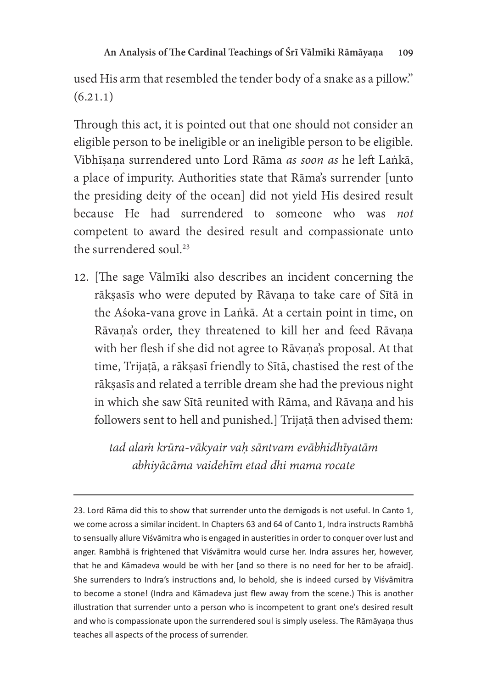used His arm that resembled the tender body of a snake as a pillow."  $(6.21.1)$ 

Through this act, it is pointed out that one should not consider an eligible person to be ineligible or an ineligible person to be eligible. Vibhīsana surrendered unto Lord Rāma as soon as he left Laṅkā, a place of impurity. Authorities state that Rāma's surrender [unto the presiding deity of the ocean] did not yield His desired result because He had surrendered to someone who was not competent to award the desired result and compassionate unto the surrendered soul.<sup>23</sup>

12. [The sage Vālmīki also describes an incident concerning the rākṣasīs who were deputed by Rāvaṇa to take care of Sītā in the Aśoka-vana grove in Laṅkā. At a certain point in time, on Rāvaṇa's order, they threatened to kill her and feed Rāvaṇa with her flesh if she did not agree to Rāvaṇa's proposal. At that time, Trijaṭā, a rākṣasī friendly to Sītā, chastised the rest of the rākṣasīs and related a terrible dream she had the previous night in which she saw Sītā reunited with Rāma, and Rāvaṇa and his followers sent to hell and punished.] Trijaṭā then advised them:

> tad alaṁ krūra-vākyair vaḥ sāntvam evābhidhīyatām abhiyācāma vaidehīm etad dhi mama rocate

23. Lord Rāma did this to show that surrender unto the demigods is not useful. In Canto 1, we come across a similar incident. In Chapters 63 and 64 of Canto 1, Indra instructs Rambha to sensually allure Viśvāmitra who is engaged in austerities in order to conquer over lust and anger. Rambhā is frightened that Viśvāmitra would curse her. Indra assures her, however, that he and Kāmadeva would be with her [and so there is no need for her to be afraid]. She surrenders to Indra's instructions and, lo behold, she is indeed cursed by Viśvāmitra to become a stone! (Indra and Kāmadeva just flew away from the scene.) This is another illustration that surrender unto a person who is incompetent to grant one's desired result and who is compassionate upon the surrendered soul is simply useless. The Rāmāyana thus teaches all aspects of the process of surrender.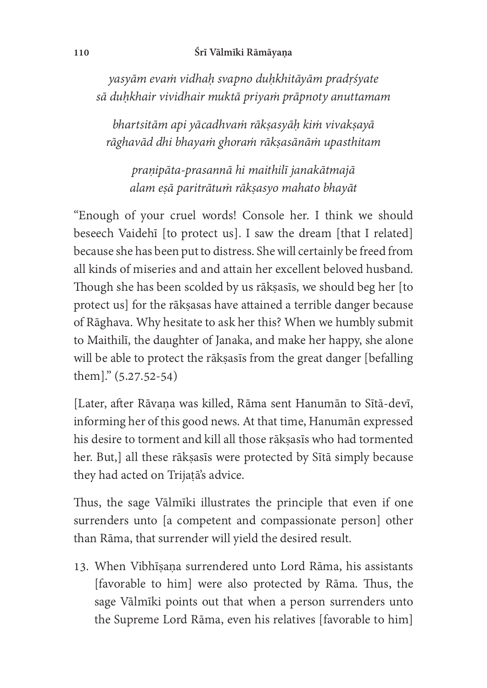yasyām evaṁ vidhaḥ svapno duḥkhitāyām pradṛśyate sā duḥkhair vividhair muktā priyaṁ prāpnoty anuttamam

bhartsitām api yācadhvaṁ rākṣasyāḥ kiṁ vivakṣayā rāghavād dhi bhayaṁ ghoraṁ rākṣasānāṁ upasthitam

praṇipāta-prasannā hi maithilī janakātmajā alam eṣā paritrātuṁ rākṣasyo mahato bhayāt

"Enough of your cruel words! Console her. I think we should beseech Vaidehī [to protect us]. I saw the dream [that I related] because she has been put to distress. She will certainly be freed from all kinds of miseries and and attain her excellent beloved husband. Though she has been scolded by us rākṣasīs, we should beg her [to protect us] for the rākṣasas have attained a terrible danger because of Rāghava. Why hesitate to ask her this? When we humbly submit to Maithilī, the daughter of Janaka, and make her happy, she alone will be able to protect the rākṣasīs from the great danger [befalling] them]." (5.27.52-54)

[Later, after Rāvaṇa was killed, Rāma sent Hanumān to Sītā-devī, informing her of this good news. At that time, Hanumān expressed his desire to torment and kill all those rākṣasīs who had tormented her. But,] all these rākṣasīs were protected by Sītā simply because they had acted on Trijaṭā's advice.

Thus, the sage Vālmīki illustrates the principle that even if one surrenders unto [a competent and compassionate person] other than Rāma, that surrender will yield the desired result.

13. When Vibhīṣaṇa surrendered unto Lord Rāma, his assistants [favorable to him] were also protected by Rāma. Thus, the sage Vālmīki points out that when a person surrenders unto the Supreme Lord Rāma, even his relatives [favorable to him]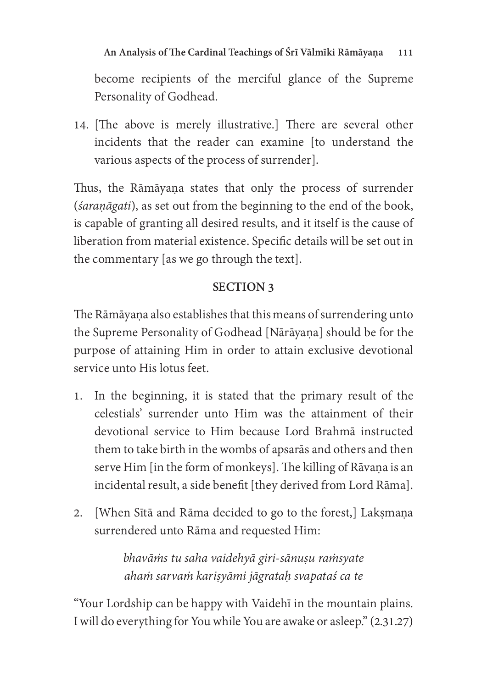become recipients of the merciful glance of the Supreme Personality of Godhead.

14. [The above is merely illustrative.] There are several other incidents that the reader can examine [to understand the various aspects of the process of surrender].

Thus, the Rāmāyana states that only the process of surrender (*saranāgati*), as set out from the beginning to the end of the book, is capable of granting all desired results, and it itself is the cause of liberation from material existence. Specific details will be set out in the commentary [as we go through the text].

# SECTION 3

The Rāmāyaṇa also establishes that this means of surrendering unto the Supreme Personality of Godhead [Nārāyaṇa] should be for the purpose of attaining Him in order to attain exclusive devotional service unto His lotus feet

- 1. In the beginning, it is stated that the primary result of the celestials' surrender unto Him was the attainment of their devotional service to Him because Lord Brahmā instructed them to take birth in the wombs of apsarās and others and then serve Him [in the form of monkeys]. The killing of Rāvaṇa is an incidental result, a side benefit [they derived from Lord Rāma].
- 2. [When Sītā and Rāma decided to go to the forest,] Laksmana surrendered unto Rāma and requested Him:

bhavāṁs tu saha vaidehyā giri-sānuṣu raṁsyate ahaṁ sarvaṁ kariṣyāmi jāgrataḥ svapataś ca te

"Your Lordship can be happy with Vaidehī in the mountain plains. I will do everything for You while You are awake or asleep." (2.31.27)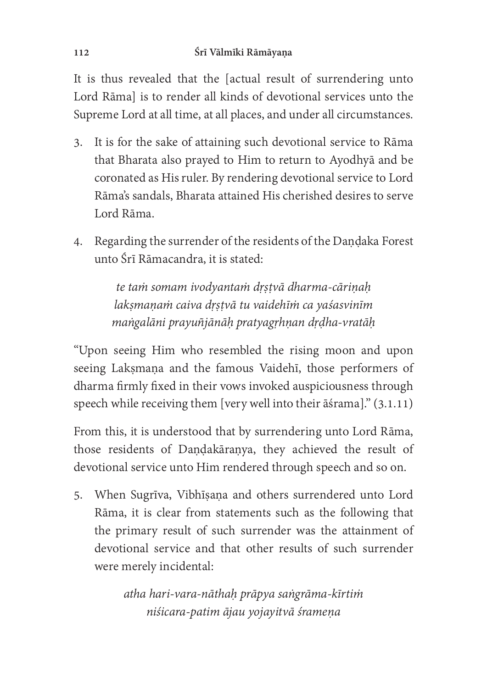It is thus revealed that the [actual result of surrendering unto Lord Rāma] is to render all kinds of devotional services unto the Supreme Lord at all time, at all places, and under all circumstances.

- 3. It is for the sake of attaining such devotional service to Rāma that Bharata also prayed to Him to return to Ayodhyā and be coronated as His ruler. By rendering devotional service to Lord Rāma's sandals, Bharata attained His cherished desires to serve Lord Rāma.
- 4. Regarding the surrender of the residents of the Dandaka Forest unto Śrī Rāmacandra, it is stated:

te taṁ somam ivodyantaṁ dṛṣṭvā dharma-cāriṇaḥ lakṣmaṇaṁ caiva dṛṣṭvā tu vaidehīṁ ca yaśasvinīm maṅgalāni prayuñjānāḥ pratyagṛhṇan dṛḍha-vratāḥ

"Upon seeing Him who resembled the rising moon and upon seeing Laksmana and the famous Vaidehī, those performers of dharma firmly fixed in their vows invoked auspiciousness through speech while receiving them [very well into their āśrama]." (3.1.11)

From this, it is understood that by surrendering unto Lord Rāma, those residents of Daṇḍakāraṇya, they achieved the result of devotional service unto Him rendered through speech and so on.

5. When Sugrīva, Vibhīṣaṇa and others surrendered unto Lord Rāma, it is clear from statements such as the following that the primary result of such surrender was the attainment of devotional service and that other results of such surrender were merely incidental:

> atha hari-vara-nāthaḥ prāpya saṅgrāma-kīrtiṁ niśicara-patim ājau yojayitvā śrameṇa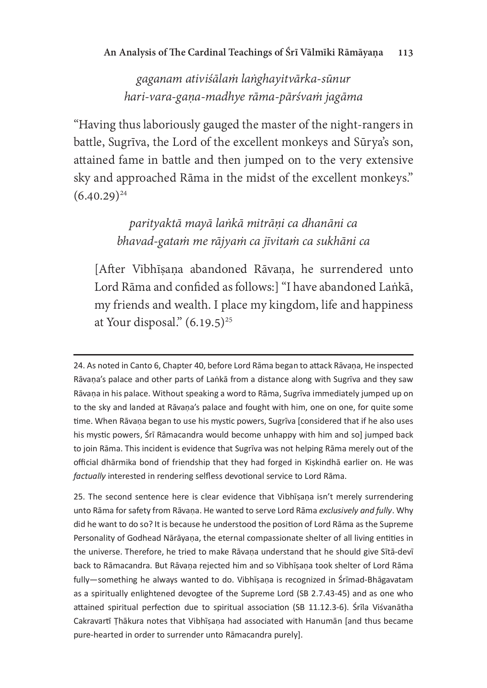gaganam ativiśālaṁ laṅghayitvārka-sūnur hari-vara-gaṇa-madhye rāma-pārśvaṁ jagāma

"Having thus laboriously gauged the master of the night-rangers in battle, Sugrīva, the Lord of the excellent monkeys and Sūrya's son, attained fame in battle and then jumped on to the very extensive sky and approached Rāma in the midst of the excellent monkeys."  $(6.40.29)^{24}$ 

> parityaktā mayā laṅkā mitrāṇi ca dhanāni ca bhavad-gataṁ me rājyaṁ ca jīvitaṁ ca sukhāni ca

[Afer Vibhīṣaṇa abandoned Rāvaṇa, he surrendered unto Lord Rāma and confided as follows: I "I have abandoned Laṅkā, my friends and wealth. I place my kingdom, life and happiness at Your disposal."  $(6.19.5)^{25}$ 

24. As noted in Canto 6, Chapter 40, before Lord Rāma began to attack Rāvaņa, He inspected Rāvaņa's palace and other parts of Lankā from a distance along with Sugrīva and they saw Rāvaņa in his palace. Without speaking a word to Rāma, Sugrīva immediately jumped up on to the sky and landed at Rāvana's palace and fought with him, one on one, for quite some time. When Rāvaņa began to use his mystic powers, Sugrīva [considered that if he also uses his mystic powers, Śrī Rāmacandra would become unhappy with him and so] jumped back to join Rāma. This incident is evidence that Sugrīva was not helping Rāma merely out of the official dhārmika bond of friendship that they had forged in Kiskindhā earlier on. He was factually interested in rendering selfless devotional service to Lord Rāma.

25. The second sentence here is clear evidence that Vibhisana isn't merely surrendering unto Rāma for safety from Rāvaṇa. He wanted to serve Lord Rāma exclusively and fully. Why did he want to do so? It is because he understood the position of Lord Rāma as the Supreme Personality of Godhead Nārāyaṇa, the eternal compassionate shelter of all living entities in the universe. Therefore, he tried to make Rāvana understand that he should give Sītā-devī back to Rāmacandra. But Rāvaņa rejected him and so Vibhīșaņa took shelter of Lord Rāma fully-something he always wanted to do. Vibhisana is recognized in Srimad-Bhagavatam as a spiritually enlightened devogtee of the Supreme Lord (SB 2.7.43-45) and as one who attained spiritual perfection due to spiritual association (SB 11.12.3-6). Śrīla Viśvanātha Cakravartī Thākura notes that Vibhīsana had associated with Hanumān [and thus became pure-hearted in order to surrender unto Rāmacandra purely].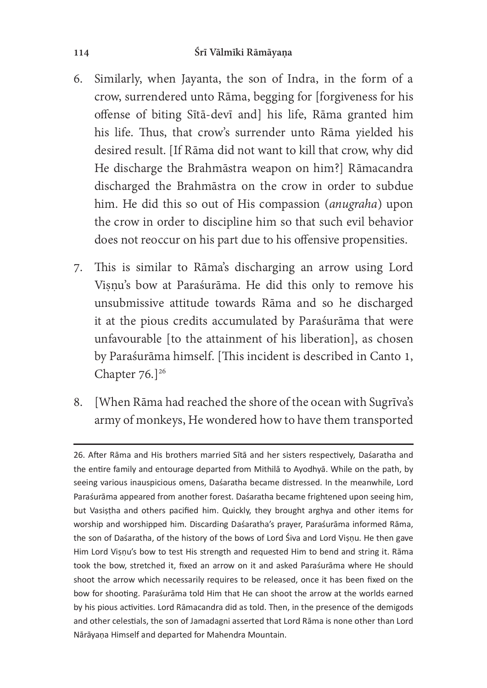- 6. Similarly, when Jayanta, the son of Indra, in the form of a crow, surrendered unto Rāma, begging for [forgiveness for his offense of biting Sītā-devī and] his life, Rāma granted him his life. Thus, that crow's surrender unto Rāma yielded his desired result. [If Rāma did not want to kill that crow, why did He discharge the Brahmāstra weapon on him?] Rāmacandra discharged the Brahmāstra on the crow in order to subdue him. He did this so out of His compassion (*anugraha*) upon the crow in order to discipline him so that such evil behavior does not reoccur on his part due to his offensive propensities.
- 7. This is similar to Rāma's discharging an arrow using Lord Visnu's bow at Paraśurāma. He did this only to remove his unsubmissive attitude towards Rāma and so he discharged it at the pious credits accumulated by Paraśurāma that were unfavourable [to the attainment of his liberation], as chosen by Paraśurāma himself. [This incident is described in Canto 1, Chapter  $76.$ <sup>26</sup>
- 8. [When Rāma had reached the shore of the ocean with Sugrīva's army of monkeys, He wondered how to have them transported

<sup>26.</sup> After Rāma and His brothers married Sītā and her sisters respectively, Daśaratha and the entire family and entourage departed from Mithila to Ayodhya. While on the path, by seeing various inauspicious omens, Daśaratha became distressed. In the meanwhile, Lord Paraśurāma appeared from another forest. Daśaratha became frightened upon seeing him, but Vasistha and others pacified him. Quickly, they brought arghya and other items for worship and worshipped him. Discarding Daśaratha's prayer, Paraśurāma informed Rāma, the son of Daśaratha, of the history of the bows of Lord Śiva and Lord Vișnu. He then gave Him Lord Vișņu's bow to test His strength and requested Him to bend and string it. Rāma took the bow, stretched it, fixed an arrow on it and asked Paraśurāma where He should shoot the arrow which necessarily requires to be released, once it has been fixed on the bow for shooting. Paraśurāma told Him that He can shoot the arrow at the worlds earned by his pious activities. Lord Rāmacandra did as told. Then, in the presence of the demigods and other celestials, the son of Jamadagni asserted that Lord Rama is none other than Lord Nārāyaņa Himself and departed for Mahendra Mountain.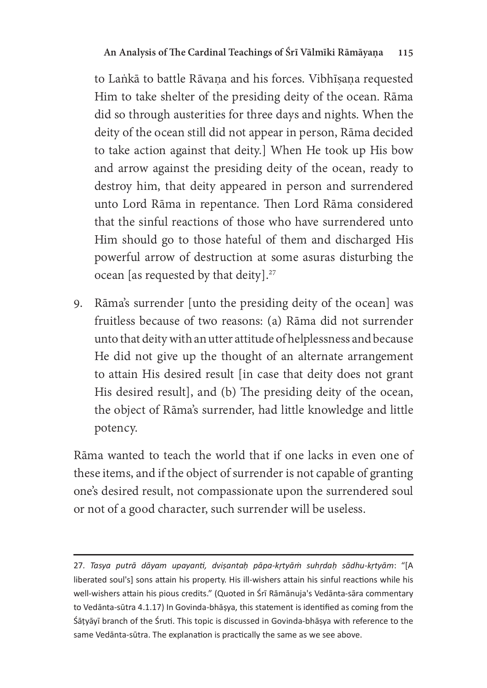to Laṅkā to battle Rāvana and his forces. Vibhīsana requested Him to take shelter of the presiding deity of the ocean. Rāma did so through austerities for three days and nights. When the deity of the ocean still did not appear in person, Rāma decided to take action against that deity.] When He took up His bow and arrow against the presiding deity of the ocean, ready to destroy him, that deity appeared in person and surrendered unto Lord Rāma in repentance. Then Lord Rāma considered that the sinful reactions of those who have surrendered unto Him should go to those hateful of them and discharged His powerful arrow of destruction at some asuras disturbing the ocean [as requested by that deity].<sup>27</sup>

9. Rāma's surrender [unto the presiding deity of the ocean] was fruitless because of two reasons: (a) Rāma did not surrender unto that deity with an utter attitude of helplessness and because He did not give up the thought of an alternate arrangement to attain His desired result [in case that deity does not grant His desired result], and (b) The presiding deity of the ocean, the object of Rāma's surrender, had little knowledge and little potency.

Rāma wanted to teach the world that if one lacks in even one of these items, and if the object of surrender is not capable of granting one's desired result, not compassionate upon the surrendered soul or not of a good character, such surrender will be useless.

<sup>27.</sup> Tasya putrā dāyam upayanti, dviṣantaḥ pāpa-kṛtyāṁ suhṛdaḥ sādhu-kṛtyām: "[A<br>liberated saul'sl sens attein bis prenertu His ill wishers attein bis sinful reastions while bis liberated soul's] sons attain his property. His ill-wishers attain his sinful reactions while his well-wishers attain his pious credits." (Quoted in Srī Rāmānuja's Vedānta-sāra commentary to Vedānta-sūtra 4.1.17) In Govinda-bhāṣya, this statement is identified as coming from the Śāţyāyī branch of the Śruti. This topic is discussed in Govinda-bhāșya with reference to the same Vedānta-sūtra. The explanation is practically the same as we see above.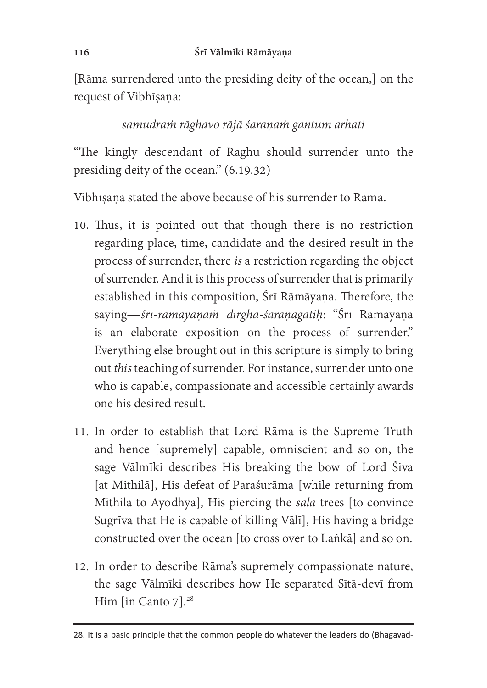[Rāma surrendered unto the presiding deity of the ocean,] on the request of Vibhīṣaṇa:

## samudraṁ rāghavo rājā śaraṇaṁ gantum arhati

"The kingly descendant of Raghu should surrender unto the presiding deity of the ocean." (6.19.32)

Vibhīsana stated the above because of his surrender to Rāma.

- 10. Thus, it is pointed out that though there is no restriction regarding place, time, candidate and the desired result in the process of surrender, there *is* a restriction regarding the object of surrender. And it is this process of surrender that is primarily established in this composition, Śrī Rāmāyaṇa. Therefore, the saying—śrī-rāmāyaṇaṁ dīrgha-śaraṇāgatiḥ: "Śrī Rāmāyaṇa is an elaborate exposition on the process of surrender." Everything else brought out in this scripture is simply to bring out this teaching of surrender. For instance, surrender unto one who is capable, compassionate and accessible certainly awards one his desired result.
- 11. In order to establish that Lord Rāma is the Supreme Truth and hence [supremely] capable, omniscient and so on, the sage Vālmīki describes His breaking the bow of Lord Śiva [at Mithilā], His defeat of Paraśurāma [while returning from Mithilā to Ayodhyā], His piercing the sāla trees [to convince Sugrīva that He is capable of killing Vālī], His having a bridge constructed over the ocean [to cross over to Laṅkā] and so on.
- 12. In order to describe Rāma's supremely compassionate nature, the sage Vālmīki describes how He separated Sītā-devī from Him [in Canto 7].<sup>28</sup>

<sup>28.</sup> It is a basic principle that the common people do whatever the leaders do (Bhagavad-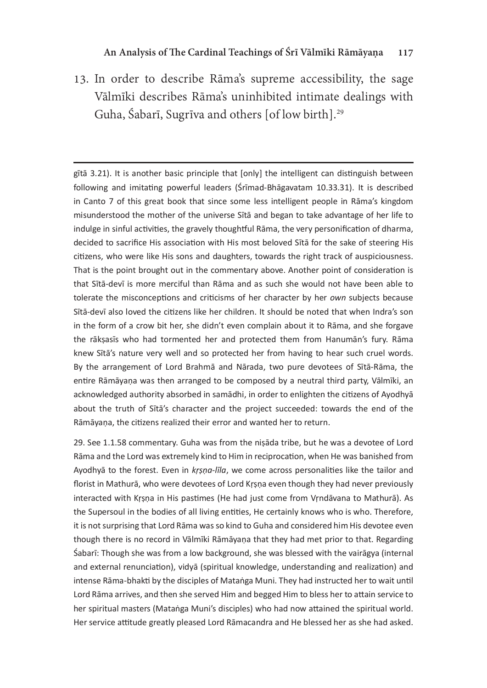13. In order to describe Rāma's supreme accessibility, the sage Vālmīki describes Rāma's uninhibited intimate dealings with Guha, Śabarī, Sugrīva and others [of low birth].<sup>29</sup>

gītā 3.21). It is another basic principle that [only] the intelligent can distinguish between following and imitating powerful leaders (Srimad-Bhagavatam 10.33.31). It is described in Canto 7 of this great book that since some less intelligent people in Rāma's kingdom misunderstood the mother of the universe Sītā and began to take advantage of her life to indulge in sinful activities, the gravely thoughtful Rama, the very personification of dharma. decided to sacrifice His association with His most beloved Sītā for the sake of steering His citizens, who were like His sons and daughters, towards the right track of auspiciousness. That is the point brought out in the commentary above. Another point of consideration is that Sītā-devī is more merciful than Rāma and as such she would not have been able to tolerate the misconceptions and criticisms of her character by her own subjects because Sita-devi also loved the citizens like her children. It should be noted that when Indra's son in the form of a crow bit her, she didn't even complain about it to Rama, and she forgave the rākṣasīs who had tormented her and protected them from Hanumān's fury. Rāma knew Sītā's nature very well and so protected her from having to hear such cruel words. By the arrangement of Lord Brahma and Narada, two pure devotees of Sita-Rama, the entire Rāmāyaņa was then arranged to be composed by a neutral third party, Vālmīki, an acknowledged authority absorbed in samādhi, in order to enlighten the citizens of Ayodhyā about the truth of Sītā's character and the project succeeded: towards the end of the Rāmāyaņa, the citizens realized their error and wanted her to return.

29. See 1.1.58 commentary. Guha was from the nisada tribe, but he was a devotee of Lord Rāma and the Lord was extremely kind to Him in reciprocation, when He was banished from Ayodhyā to the forest. Even in krsna-līla, we come across personalities like the tailor and<br>florist in Mathurā, who were devetees of Lard Krsna even though they had never previously florist in Mathurā, who were devotees of Lord Krsna even though they had never previously interacted with Krsna in His pastimes (He had just come from Vrndāvana to Mathurā). As the Supersoul in the bodies of all living entities, He certainly knows who is who. Therefore, it is not surprising that Lord Rāma was so kind to Guha and considered him His devotee even though there is no record in Valmiki Ramayana that they had met prior to that. Regarding Śabarī: Though she was from a low background, she was blessed with the vairāgya (internal and external renunciation), vidyā (spiritual knowledge, understanding and realization) and intense Rāma-bhakti by the disciples of Matanga Muni. They had instructed her to wait until Lord Rāma arrives, and then she served Him and begged Him to bless her to attain service to her spiritual masters (Matanga Muni's disciples) who had now attained the spiritual world. Her service attitude greatly pleased Lord Rāmacandra and He blessed her as she had asked.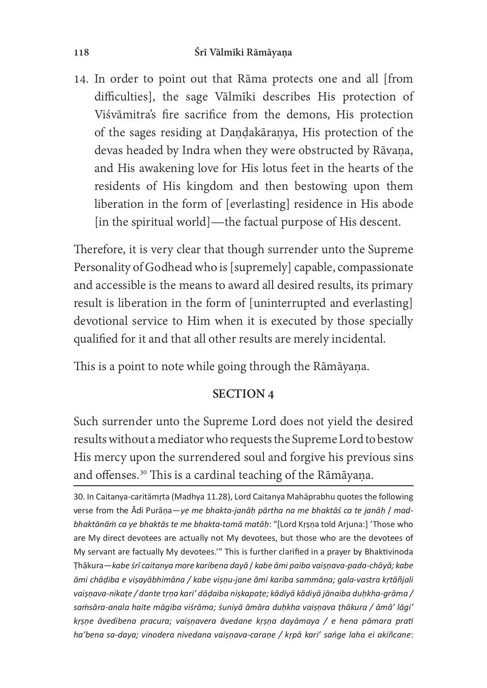#### 118 Śrī Vālmīki Rāmāyaṇa

14. In order to point out that Rāma protects one and all [from difficulties], the sage Vālmīki describes His protection of Viśvāmitra's fire sacrifice from the demons, His protection of the sages residing at Dandakāranya, His protection of the devas headed by Indra when they were obstructed by Rāvana, and His awakening love for His lotus feet in the hearts of the residents of His kingdom and then bestowing upon them liberation in the form of [everlasting] residence in His abode [in the spiritual world]—the factual purpose of His descent.

Therefore, it is very clear that though surrender unto the Supreme Personality of Godhead who is [supremely] capable, compassionate and accessible is the means to award all desired results, its primary result is liberation in the form of [uninterrupted and everlasting] devotional service to Him when it is executed by those specially qualified for it and that all other results are merely incidental.

This is a point to note while going through the Rāmāyana.

#### SECTION 4

Such surrender unto the Supreme Lord does not yield the desired results without a mediator who requests the Supreme Lord to bestow His mercy upon the surrendered soul and forgive his previous sins and offenses.<sup>30</sup> This is a cardinal teaching of the Rāmāyaṇa.

30. In Caitanya-caritāmrta (Madhya 11.28), Lord Caitanya Mahāprabhu quotes the following verse from the Ādi Purāņa-ye me bhakta-janāḥ pārtha na me bhaktāś ca te janāḥ / madbhaktānām ca ye bhaktās te me bhakta-tamā matāḥ: "[Lord Krṣṇa told Arjuna:] 'Those who are My direct devotees are actually not My devotees, but those who are the devotees of My servant are factually My devotees." This is further clarified in a prayer by Bhaktivinoda Thākura—kabe śrī caitanya more karibena dayā / kabe āmi paiba vaiṣṇava-pada-chāyā; kabe<br>Āmi shādiba e visavābbimāna. ( kabe visav iano āmi kariba sammāna: aala vastra krtāñiali āmi chāḍiba e viṣayābhimāna / kabe viṣṇu-jane āmi kariba sammāna; gala-vastra kṛtāñjali<br>vaiṣṇava-nikaṭe / dante tṛṇa kari' dāḍaiba niṣkapaṭe; kādiyā kādiyā jānaiba duḥkha-grāma / samsāra-anala haite māgiba viśrāma; śuniyā āmāra duḥkha vaiṣṇava ṭhākura / āmā' lāqi' krsne āvedibena pracura; vaisnavera āvedane krsna dayāmaya / e hena pāmara prati ha'bena sa-daya; vinodera nivedana vaisnava-carane / krpā kari' sańge laha ei akiñcane: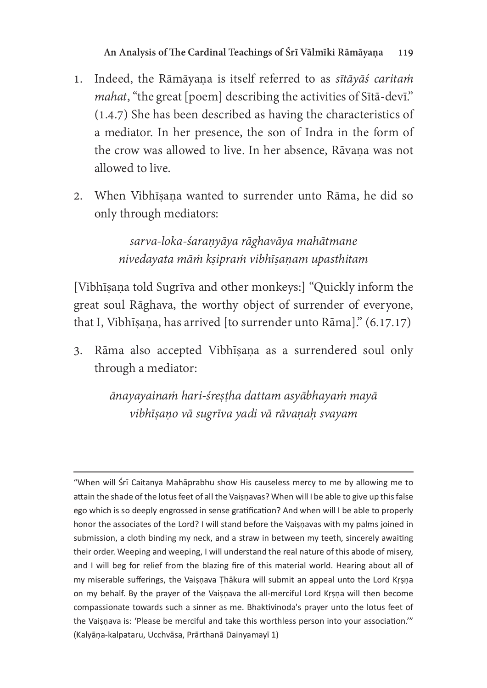- 1. Indeed, the Rāmāyana is itself referred to as sītāyās caritam mahat, "the great [poem] describing the activities of Sita-devi." (1.4.7) She has been described as having the characteristics o a mediator. In her presence, the son of Indra in the form of the crow was allowed to live. In her absence, Rāvaṇa was not allowed to live.
- 2. When Vibhīṣaṇa wanted to surrender unto Rāma, he did so only through mediators:

sarva-loka-śaraṇyāya rāghavāya mahātmane nivedayata māṁ kṣipraṁ vibhīṣaṇam upasthitam

[Vibhīṣaṇa told Sugrīva and other monkeys:] "Quickly inform the great soul Rāghava, the worthy object of surrender of everyone, that I, Vibhīṣaṇa, has arrived [to surrender unto Rāma]." (6.17.17)

3. Rāma also accepted Vibhīṣaṇa as a surrendered soul only through a mediator:

> ānayayainaṁ hari-śreṣṭha dattam asyābhayaṁ mayā vibhīṣaṇo vā sugrīva yadi vā rāvaṇaḥ svayam

"When will Srī Caitanya Mahāprabhu show His causeless mercy to me by allowing me to attain the shade of the lotus feet of all the Vaisnavas? When will I be able to give up this false ego which is so deeply engrossed in sense gratification? And when will I be able to properly honor the associates of the Lord? I will stand before the Vaisnavas with my palms joined in submission, a cloth binding my neck, and a straw in between my teeth, sincerely awaiting their order. Weeping and weeping, I will understand the real nature of this abode of misery, and I will beg for relief from the blazing fire of this material world. Hearing about all of my miserable sufferings, the Vaisnava Thākura will submit an appeal unto the Lord Krsna on my behalf. By the prayer of the Vaisnava the all-merciful Lord Krsna will then become compassionate towards such a sinner as me. Bhaktivinoda's prayer unto the lotus feet of the Vaisnava is: 'Please be merciful and take this worthless person into your association.'" (Kalyāņa-kalpataru, Ucchvāsa, Prārthanā Dainyamayī 1)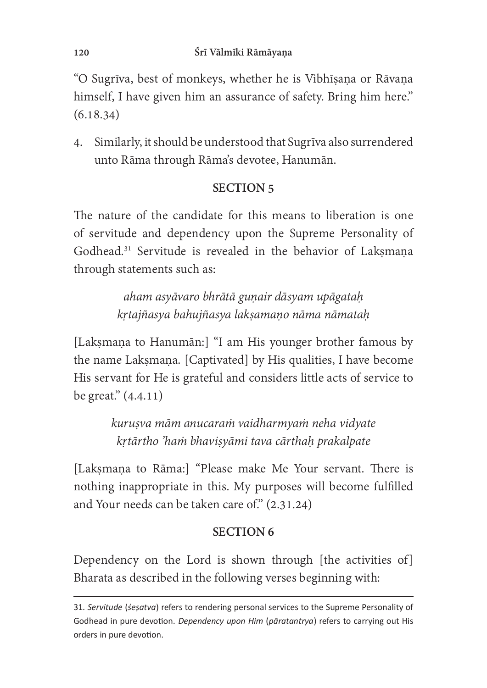"O Sugrīva, best of monkeys, whether he is Vibhīsana or Rāvana himself, I have given him an assurance of safety. Bring him here." (6.18.34)

4. Similarly, it should be understood that Sugrīva also surrendered unto Rāma through Rāma's devotee, Hanumān.

## SECTION<sub>5</sub>

The nature of the candidate for this means to liberation is one of servitude and dependency upon the Supreme Personality of Godhead.<sup>31</sup> Servitude is revealed in the behavior of Laksmana through statements such as:

> aham asyāvaro bhrātā gunair dāsyam upāgatah kṛtajñasya bahujñasya lakṣamaṇo nāma nāmataḥ

[Lakṣmaṇa to Hanumān:] "I am His younger brother famous by the name Lakṣmaṇa. [Captivated] by His qualities, I have become His servant for He is grateful and considers little acts of service to be great." (4.4.11)

> kuruṣva mām anucaraṁ vaidharmyaṁ neha vidyate kṛtārtho 'haṁ bhaviṣyāmi tava cārthaḥ prakalpate

[Lakṣmaṇa to Rāma:] "Please make Me Your servant. There is nothing inappropriate in this. My purposes will become fulfilled and Your needs can be taken care of."  $(2.31.24)$ 

# SECTION<sub>6</sub>

Dependency on the Lord is shown through [the activities of] Bharata as described in the following verses beginning with:

<sup>31.</sup> Servitude (sesatva) refers to rendering personal services to the Supreme Personality of Godhead in pure devotion. *Dependency upon Him (pāratantrya)* refers to carrying out His orders in pure devotion.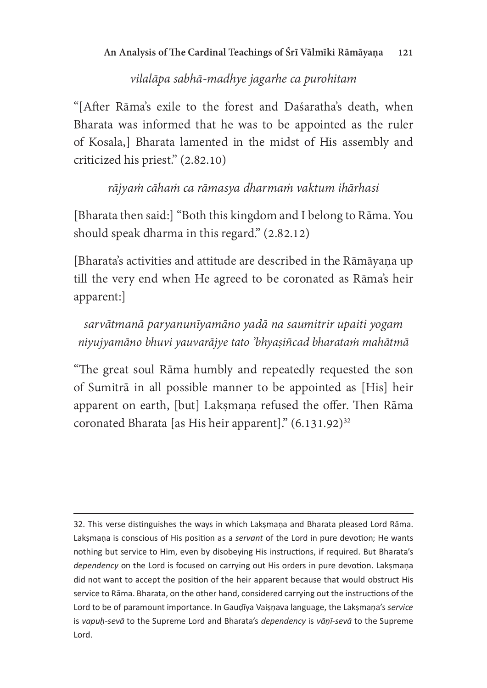# vilalāpa sabhā-madhye jagarhe ca purohitam

"[After Rāma's exile to the forest and Daśaratha's death, when Bharata was informed that he was to be appointed as the ruler of Kosala,] Bharata lamented in the midst of His assembly and criticized his priest." (2.82.10)

# rājyaṁ cāhaṁ ca rāmasya dharmaṁ vaktum ihārhasi

[Bharata then said:] "Both this kingdom and I belong to Rāma. You should speak dharma in this regard." (2.82.12)

[Bharata's activities and attitude are described in the Rāmāyaṇa up till the very end when He agreed to be coronated as Rāma's heir apparent:]

sarvātmanā paryanunīyamāno yadā na saumitrir upaiti yogam niyujyamāno bhuvi yauvarājye tato 'bhyaṣiñcad bharataṁ mahātmā

"The great soul Rāma humbly and repeatedly requested the son of Sumitrā in all possible manner to be appointed as [His] heir apparent on earth, [but] Laksmana refused the offer. Then Rāma coronated Bharata [as His heir apparent]."  $(6.131.92)^{32}$ 

32. This verse distinguishes the ways in which Laksmana and Bharata pleased Lord Rāma. Laksmana is conscious of His position as a servant of the Lord in pure devotion; He wants nothing but service to Him, even by disobeying His instructions, if required. But Bharata's dependency on the Lord is focused on carrying out His orders in pure devotion. Laksmana did not want to accept the position of the heir apparent because that would obstruct His service to Rāma. Bharata, on the other hand, considered carrying out the instructions of the Lord to be of paramount importance. In Gaudiya Vaisnava language, the Laksmana's service serve to be a permaneum imperiance in deliging and programs, the angular serves is vapuble served to the Supreme<br>Lord Lord.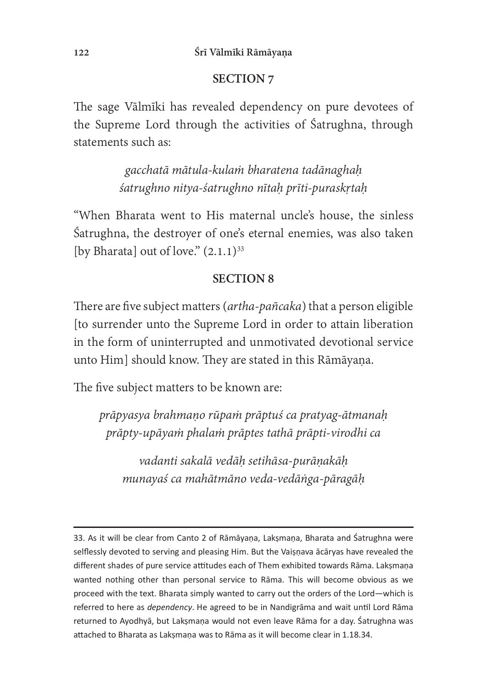## SECTION<sub>7</sub>

The sage Vālmīki has revealed dependency on pure devotees of the Supreme Lord through the activities of Satrughna, through statements such as:

> gacchatā mātula-kulaṁ bharatena tadānaghaḥ śatrughno nitya-śatrughno nītaḥ prīti-puraskṛtaḥ

"When Bharata went to His maternal uncle's house, the sinless Śatrughna, the destroyer of one's eternal enemies, was also taken [by Bharata] out of love."  $(2.1.1)^{33}$ 

## SECTION<sub>8</sub>

There are five subject matters (artha-pañcaka) that a person eligible [to surrender unto the Supreme Lord in order to attain liberation in the form of uninterrupted and unmotivated devotional service unto Him] should know. They are stated in this Rāmāyaṇa.

The five subject matters to be known are:

prāpyasya brahmaṇo rūpaṁ prāptuś ca pratyag-ātmanaḥ prāpty-upāyaṁ phalaṁ prāptes tathā prāpti-virodhi ca

vadanti sakalā vedāḥ setihāsa-purāṇakāḥ munayaś ca mahātmāno veda-vedāṅga-pāragāḥ

<sup>33.</sup> As it will be clear from Canto 2 of Rāmāyaṇa, Lakṣmaṇa, Bharata and Śatrughna were selflessly devoted to serving and pleasing Him. But the Vaisnava acaryas have revealed the different shades of pure service attitudes each of Them exhibited towards Rāma. Laksmaņa wanted nothing other than personal service to Rama. This will become obvious as we proceed with the text. Bharata simply wanted to carry out the orders of the Lord-which is referred to here as *dependency*. He agreed to be in Nandigrāma and wait until Lord Rāma<br>returned to Avedbuā, but Laksmana would not aven laave Bāma for a dav. Śatrughna was returned to Ayodhyā, but Laksmana would not even leave Rāma for a day. Śatrughna was attached to Bharata as Laksmana was to Rāma as it will become clear in 1.18.34.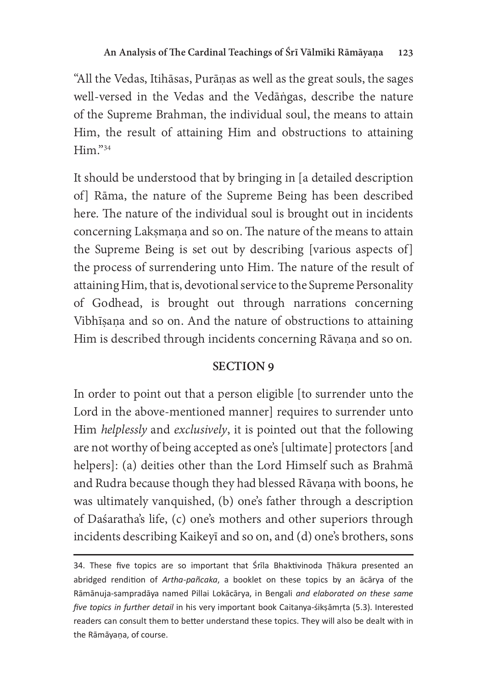"All the Vedas, Itihāsas, Purāṇas as well as the great souls, the sages well-versed in the Vedas and the Vedāṅgas, describe the nature of the Supreme Brahman, the individual soul, the means to attain Him, the result of attaining Him and obstructions to attaining Him."34

It should be understood that by bringing in [a detailed description of] Rāma, the nature of the Supreme Being has been described here. The nature of the individual soul is brought out in incidents concerning Lakṣmaṇa and so on. The nature of the means to attain the Supreme Being is set out by describing [various aspects of] the process of surrendering unto Him. The nature of the result of attaining Him, that is, devotional service to the Supreme Personality of Godhead, is brought out through narrations concerning Vibhīṣaṇa and so on. And the nature of obstructions to attaining Him is described through incidents concerning Rāvaṇa and so on.

# **SECTION 9**

In order to point out that a person eligible [to surrender unto the Lord in the above-mentioned manner] requires to surrender unto Him helplessly and exclusively, it is pointed out that the following are not worthy of being accepted as one's [ultimate] protectors [and helpers]: (a) deities other than the Lord Himself such as Brahmā and Rudra because though they had blessed Rāvaṇa with boons, he was ultimately vanquished, (b) one's father through a description of Daśaratha's life, (c) one's mothers and other superiors through incidents describing Kaikeyī and so on, and (d) one's brothers, sons

<sup>34.</sup> These five topics are so important that Srila Bhaktivinoda Thakura presented an abridged rendition of Artha-pañcaka, a booklet on these topics by an ācārya of the Rāmānuja-sampradāya named Pillai Lokācārya, in Bengali *and elaborated on these same*<br>five tanies in further detail in his vasu important hock Gaitanua éiksāmsta (E.2). Interested five topics in further detail in his very important book Caitanya-śikṣāmṛta (5.3). Interested readers can consult them to better understand these topics. They will also be dealt with in the Rāmāyaṇa, of course.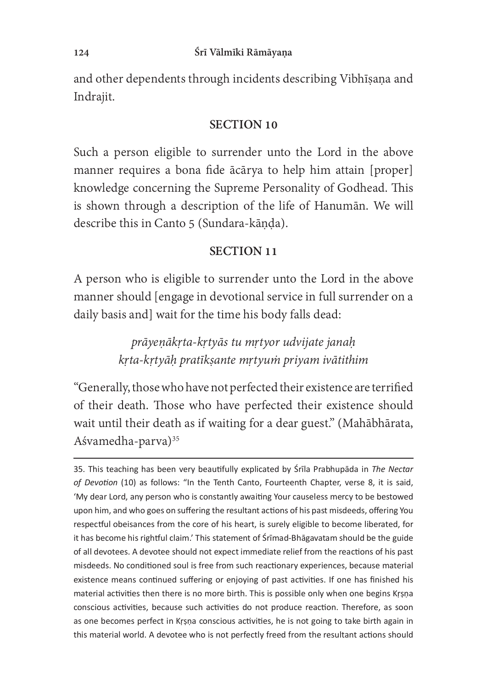and other dependents through incidents describing Vibhīṣaṇa and Indrajit.

### SECTION 10

Such a person eligible to surrender unto the Lord in the above manner requires a bona fide ācārya to help him attain [proper] knowledge concerning the Supreme Personality of Godhead. This is shown through a description of the life of Hanumān. We will describe this in Canto 5 (Sundara-kāṇḍa).

## SECTION 11

A person who is eligible to surrender unto the Lord in the above manner should [engage in devotional service in full surrender on a daily basis and] wait for the time his body falls dead:

> prāyeṇākṛta-kṛtyās tu mṛtyor udvijate janaḥ kṛta-kṛtyāḥ pratīkṣante mṛtyuṁ priyam ivātithim

"Generally, those who have not perfected their existence are terrified of their death. Those who have perfected their existence should wait until their death as if waiting for a dear guest." (Mahābhārata, Aśvamedha-parva)<sup>35</sup>

<sup>35.</sup> This teaching has been very beautifully explicated by Srila Prabhupada in The Nectar of Devotion (10) as follows: "In the Tenth Canto, Fourteenth Chapter, verse 8, it is said, 'My dear Lord, any person who is constantly awaiting Your causeless mercy to be bestowed upon him, and who goes on suffering the resultant actions of his past misdeeds, offering You respectful obeisances from the core of his heart, is surely eligible to become liberated, for it has become his rightful claim.' This statement of Srimad-Bhagavatam should be the guide of all devotees. A devotee should not expect immediate relief from the reactions of his past misdeeds. No conditioned soul is free from such reactionary experiences, because material existence means continued suffering or enjoying of past activities. If one has finished his material activities then there is no more birth. This is possible only when one begins Krsna conscious activities, because such activities do not produce reaction. Therefore, as soon as one becomes perfect in Krsna conscious activities, he is not going to take birth again in this material world. A devotee who is not perfectly freed from the resultant actions should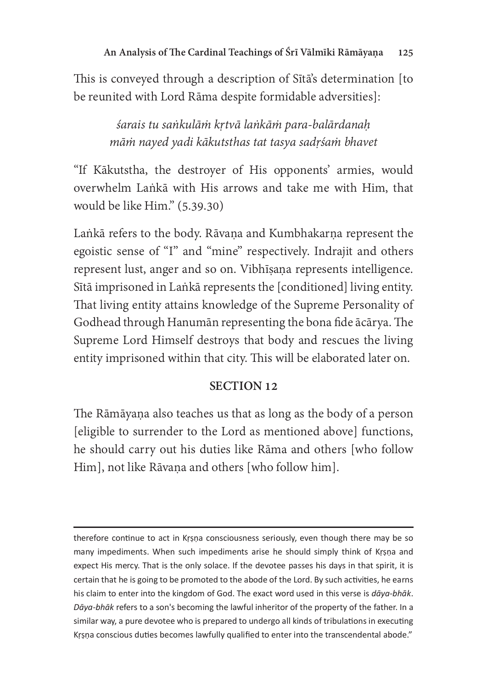This is conveyed through a description of Sītā's determination [to be reunited with Lord Rāma despite formidable adversities]:

> śarais tu saṅkulāṁ kṛtvā laṅkāṁ para-balārdanaḥ māṁ nayed yadi kākutsthas tat tasya sadṛśaṁ bhavet

"If Kākutstha, the destroyer of His opponents' armies, would overwhelm Laṅkā with His arrows and take me with Him, that would be like Him." (5.39.30)

Laṅkā refers to the body. Rāvaṇa and Kumbhakarṇa represent the egoistic sense of "I" and "mine" respectively. Indrajit and others represent lust, anger and so on. Vibhīṣaṇa represents intelligence. Sītā imprisoned in Laṅkā represents the [conditioned] living entity. That living entity attains knowledge of the Supreme Personality of Godhead through Hanumān representing the bona fide ācārya. The Supreme Lord Himself destroys that body and rescues the living entity imprisoned within that city. This will be elaborated later on.

## SECTION 12

The Rāmāyaṇa also teaches us that as long as the body of a person [eligible to surrender to the Lord as mentioned above] functions, he should carry out his duties like Rāma and others [who follow Him], not like Rāvaṇa and others [who follow him].

therefore continue to act in Krsna consciousness seriously, even though there may be so many impediments. When such impediments arise he should simply think of Krsna and expect His mercy. That is the only solace. If the devotee passes his days in that spirit, it is certain that he is going to be promoted to the abode of the Lord. By such activities, he earns his claim to enter into the kingdom of God. The exact word used in this verse is  $d\bar{a}ya-bh\bar{a}k$ .<br>Deve bhakes to a son's becoming the lay ful inheritor of the preparty of the father la a Dāya-bhāk refers to a son's becoming the lawful inheritor of the property of the father. In a similar way, a pure devotee who is prepared to undergo all kinds of tribulations in executing Krsna conscious duties becomes lawfully qualified to enter into the transcendental abode."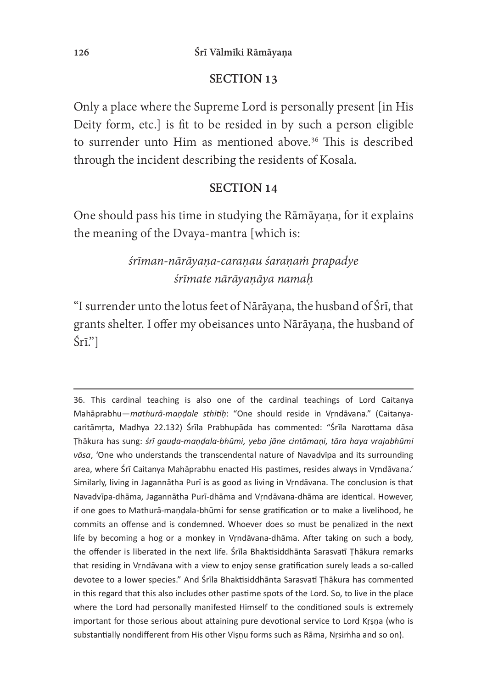### SECTION 13

Only a place where the Supreme Lord is personally present [in His Deity form, etc.] is fit to be resided in by such a person eligible to surrender unto Him as mentioned above.<sup>36</sup> This is described through the incident describing the residents of Kosala.

### SECTION 14

One should pass his time in studying the Rāmāyana, for it explains the meaning of the Dvaya-mantra [which is:

# śrīman-nārāyaṇa-caraṇau śaraṇaṁ prapadye śrīmate nārāyaṇāya namaḥ

"I surrender unto the lotus feet of Nārāyaṇa, the husband of Śrī, that grants shelter. I offer my obeisances unto Nārāyaṇa, the husband of Śrī."]

<sup>36.</sup> This cardinal teaching is also one of the cardinal teachings of Lord Caitanya Mahāprabhu—*mathurā-maṇḍale sthitiḥ*: "One should reside in Vṛndāvana." (Caitanya-<br>caritāmsta, Madhya 22,122) <sup>Érīl</sup>a Prabhunāda has commented: "<sup>Érīla</sup> Narottama dāca caritāmŗta, Madhya 22.132) Śrīla Prabhupāda has commented: "Śrīla Narottama dāsa Thākura has sung: *śrī gauḍa-maṇḍala-bhūmi, yeba jāne cintāmaṇi, tāra haya vrajabhūmi*<br>vēca (One who understands the transsendental nature of Navadvīne and its surreunding vāsa, 'One who understands the transcendental nature of Navadvīpa and its surrounding area, where Śrī Caitanya Mahāprabhu enacted His pastimes, resides always in Vrndāvana. Similarly, living in Jagannātha Purī is as good as living in Vrndāvana. The conclusion is that Navadvīpa-dhāma, Jagannātha Purī-dhāma and Vrndāvana-dhāma are identical. However, if one goes to Mathura-mandala-bhūmi for sense gratification or to make a livelihood, he commits an offense and is condemned. Whoever does so must be penalized in the next life by becoming a hog or a monkey in Vrndavana-dhama. After taking on such a body, the offender is liberated in the next life. Srila Bhaktisiddhanta Sarasvati Thakura remarks that residing in Vrndāvana with a view to enjoy sense gratification surely leads a so-called devotee to a lower species." And Śrīla Bhaktisiddhānta Sarasvatī Thākura has commented in this regard that this also includes other pastime spots of the Lord. So, to live in the place where the Lord had personally manifested Himself to the conditioned souls is extremely important for those serious about attaining pure devotional service to Lord Krsna (who is substantially nondifferent from His other Vișņu forms such as Rāma, Nrsimha and so on).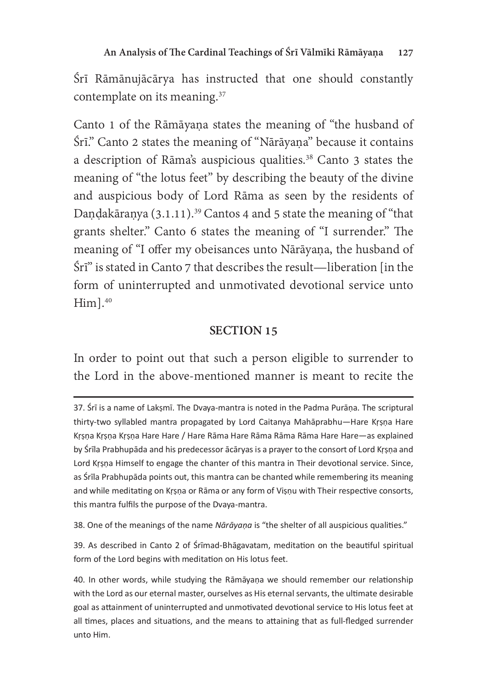Śrī Rāmānujācārya has instructed that one should constantly contemplate on its meaning.<sup>37</sup>

Canto 1 of the Rāmāyaṇa states the meaning of "the husband of Śrī." Canto 2 states the meaning of "Nārāyaṇa" because it contains a description of Rāma's auspicious qualities.<sup>38</sup> Canto 3 states the meaning of "the lotus feet" by describing the beauty of the divine and auspicious body of Lord Rāma as seen by the residents of Dandakāranya  $(3.1.11)$ .<sup>39</sup> Cantos 4 and 5 state the meaning of "that" grants shelter." Canto 6 states the meaning of "I surrender." The meaning of "I offer my obeisances unto Nārāyaṇa, the husband of Śrī" is stated in Canto 7 that describes the result—liberation [in the form of uninterrupted and unmotivated devotional service unto  $Him$ ]. $40$ 

# SECTION 15

In order to point out that such a person eligible to surrender to the Lord in the above-mentioned manner is meant to recite the

38. One of the meanings of the name Nārāyaņa is "the shelter of all auspicious qualities."

39. As described in Canto 2 of Śrīmad-Bhāgavatam, meditation on the beautiful spiritual form of the Lord begins with meditation on His lotus feet.

<sup>37.</sup> Śrī is a name of Lakṣmī. The Dvaya-mantra is noted in the Padma Purāṇa. The scriptural thirty-two syllabled mantra propagated by Lord Caitanya Mahaprabhu-Hare Krsna Hare Krsna Krsna Krsna Hare Hare / Hare Rāma Hare Rāma Rāma Rāma Hare Hare—as explained by Śrīla Prabhupāda and his predecessor ācāryas is a prayer to the consort of Lord Krsna and Lord Krsna Himself to engage the chanter of this mantra in Their devotional service. Since, as Śrīla Prabhupāda points out, this mantra can be chanted while remembering its meaning and while meditating on Krsna or Rāma or any form of Visnu with Their respective consorts, this mantra fulfils the purpose of the Dvaya-mantra.

<sup>40.</sup> In other words, while studying the Rāmāyaṇa we should remember our relationship with the Lord as our eternal master, ourselves as His eternal servants, the ultimate desirable goal as attainment of uninterrupted and unmotivated devotional service to His lotus feet at all times, places and situations, and the means to attaining that as full-fledged surrender unto Him.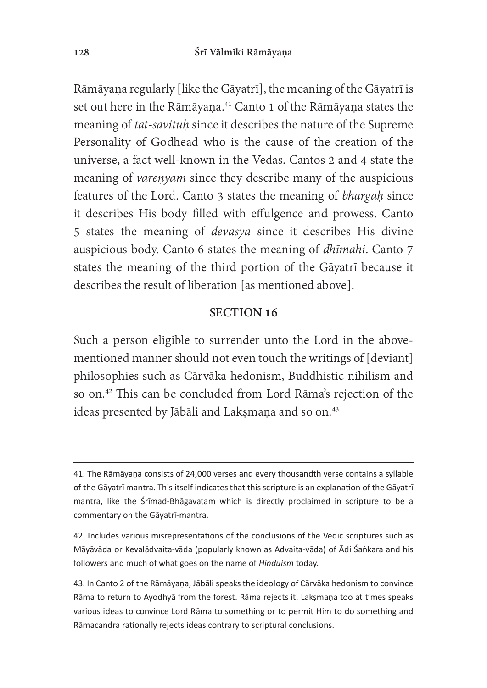Rāmāyaṇa regularly [like the Gāyatrī], the meaning of the Gāyatrī is set out here in the Rāmāyaṇa.<sup>41</sup> Canto 1 of the Rāmāyaṇa states the meaning of tat-savituḥ since it describes the nature of the Supreme Personality of Godhead who is the cause of the creation of the universe, a fact well-known in the Vedas. Cantos 2 and 4 state the meaning of *varenyam* since they describe many of the auspicious features of the Lord. Canto 3 states the meaning of bhargah since it describes His body filled with effulgence and prowess. Canto 5 states the meaning of *devasya* since it describes His divine auspicious body. Canto 6 states the meaning of *dhīmahi*. Canto 7 states the meaning of the third portion of the Gāyatrī because it describes the result of liberation [as mentioned above].

#### SECTION 16

Such a person eligible to surrender unto the Lord in the abovementioned manner should not even touch the writings of [deviant] philosophies such as Cārvāka hedonism, Buddhistic nihilism and so on.<sup>42</sup> This can be concluded from Lord Rāma's rejection of the ideas presented by Jābāli and Lakṣmaṇa and so on.<sup>43</sup>

<sup>41.</sup> The Rāmāyaņa consists of 24,000 verses and every thousandth verse contains a syllable of the Gāyatrī mantra. This itself indicates that this scripture is an explanation of the Gāyatrī mantra, like the Śrīmad-Bhāgavatam which is directly proclaimed in scripture to be a commentary on the Gāyatrī-mantra.

<sup>42.</sup> Includes various misrepresentations of the conclusions of the Vedic scriptures such as Māyāvāda or Kevalādvaita-vāda (popularly known as Advaita-vāda) of Ādi Śankara and his followers and much of what goes on the name of *Hinduism* today.

<sup>43.</sup> In Canto 2 of the Rāmāyaṇa, Jābāli speaks the ideology of Cārvāka hedonism to convince Rāma to return to Ayodhyā from the forest. Rāma rejects it. Laksmaņa too at times speaks various ideas to convince Lord Rāma to something or to permit Him to do something and Rāmacandra rationally rejects ideas contrary to scriptural conclusions.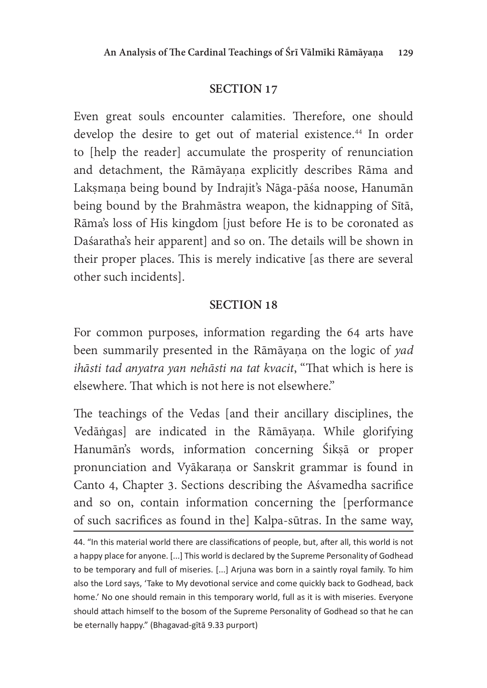## SECTION 17

Even great souls encounter calamities. Therefore, one should develop the desire to get out of material existence.<sup>44</sup> In order to [help the reader] accumulate the prosperity of renunciation and detachment, the Rāmāyaṇa explicitly describes Rāma and Lakṣmaṇa being bound by Indrajit's Nāga-pāśa noose, Hanumān being bound by the Brahmāstra weapon, the kidnapping of Sītā, Rāma's loss of His kingdom [just before He is to be coronated as Daśaratha's heir apparent] and so on. The details will be shown in their proper places. This is merely indicative [as there are several] other such incidents].

## SECTION 18

For common purposes, information regarding the 64 arts have been summarily presented in the Rāmāyaṇa on the logic of yad ihāsti tad anyatra yan nehāsti na tat kvacit, "That which is here is elsewhere. That which is not here is not elsewhere."

The teachings of the Vedas [and their ancillary disciplines, the Vedāṅgas] are indicated in the Rāmāyaṇa. While glorifying Hanumān's words, information concerning Śikṣā or proper pronunciation and Vyākaraṇa or Sanskrit grammar is found in Canto 4, Chapter 3. Sections describing the Aśvamedha sacrifice and so on, contain information concerning the [performance of such sacrifices as found in the] Kalpa-sūtras. In the same way,

<sup>44. &</sup>quot;In this material world there are classifications of people, but, after all, this world is not a happy place for anyone. [...] This world is declared by the Supreme Personality of Godhead to be temporary and full of miseries. [...] Arjuna was born in a saintly royal family. To him also the Lord says, 'Take to My devotional service and come quickly back to Godhead, back home.' No one should remain in this temporary world, full as it is with miseries. Everyone should attach himself to the bosom of the Supreme Personality of Godhead so that he can be eternally happy." (Bhagavad-gītā 9.33 purport)